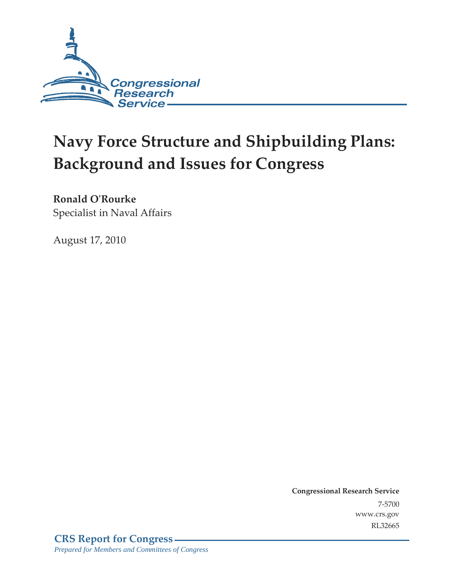

# **Navy Force Structure and Shipbuilding Plans: Background and Issues for Congress**

## **Ronald O'Rourke**

Specialist in Naval Affairs

August 17, 2010

**Congressional Research Service** 7-5700 www.crs.gov RL32665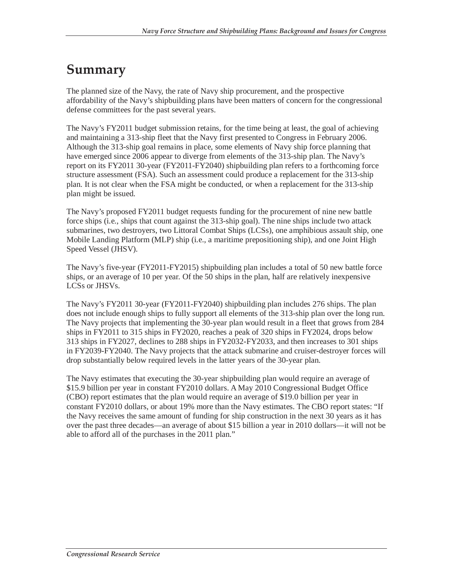## **Summary**

The planned size of the Navy, the rate of Navy ship procurement, and the prospective affordability of the Navy's shipbuilding plans have been matters of concern for the congressional defense committees for the past several years.

The Navy's FY2011 budget submission retains, for the time being at least, the goal of achieving and maintaining a 313-ship fleet that the Navy first presented to Congress in February 2006. Although the 313-ship goal remains in place, some elements of Navy ship force planning that have emerged since 2006 appear to diverge from elements of the 313-ship plan. The Navy's report on its FY2011 30-year (FY2011-FY2040) shipbuilding plan refers to a forthcoming force structure assessment (FSA). Such an assessment could produce a replacement for the 313-ship plan. It is not clear when the FSA might be conducted, or when a replacement for the 313-ship plan might be issued.

The Navy's proposed FY2011 budget requests funding for the procurement of nine new battle force ships (i.e., ships that count against the 313-ship goal). The nine ships include two attack submarines, two destroyers, two Littoral Combat Ships (LCSs), one amphibious assault ship, one Mobile Landing Platform (MLP) ship (i.e., a maritime prepositioning ship), and one Joint High Speed Vessel (JHSV).

The Navy's five-year (FY2011-FY2015) shipbuilding plan includes a total of 50 new battle force ships, or an average of 10 per year. Of the 50 ships in the plan, half are relatively inexpensive LCSs or JHSVs.

The Navy's FY2011 30-year (FY2011-FY2040) shipbuilding plan includes 276 ships. The plan does not include enough ships to fully support all elements of the 313-ship plan over the long run. The Navy projects that implementing the 30-year plan would result in a fleet that grows from 284 ships in FY2011 to 315 ships in FY2020, reaches a peak of 320 ships in FY2024, drops below 313 ships in FY2027, declines to 288 ships in FY2032-FY2033, and then increases to 301 ships in FY2039-FY2040. The Navy projects that the attack submarine and cruiser-destroyer forces will drop substantially below required levels in the latter years of the 30-year plan.

The Navy estimates that executing the 30-year shipbuilding plan would require an average of \$15.9 billion per year in constant FY2010 dollars. A May 2010 Congressional Budget Office (CBO) report estimates that the plan would require an average of \$19.0 billion per year in constant FY2010 dollars, or about 19% more than the Navy estimates. The CBO report states: "If the Navy receives the same amount of funding for ship construction in the next 30 years as it has over the past three decades—an average of about \$15 billion a year in 2010 dollars—it will not be able to afford all of the purchases in the 2011 plan."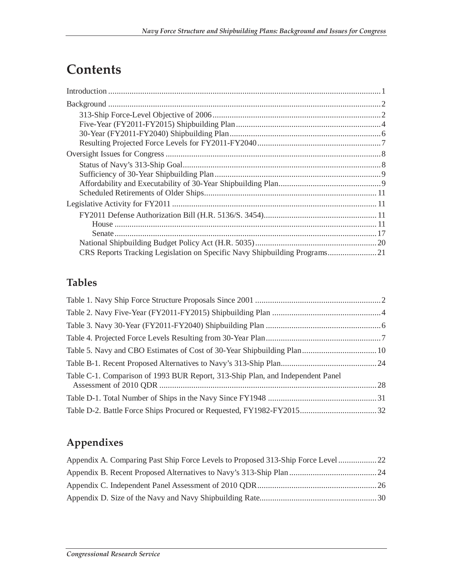# **Contents**

## **Tables**

| Table C-1. Comparison of 1993 BUR Report, 313-Ship Plan, and Independent Panel |  |
|--------------------------------------------------------------------------------|--|
|                                                                                |  |
|                                                                                |  |

## **Appendixes**

| Appendix A. Comparing Past Ship Force Levels to Proposed 313-Ship Force Level 22 |  |
|----------------------------------------------------------------------------------|--|
|                                                                                  |  |
|                                                                                  |  |
|                                                                                  |  |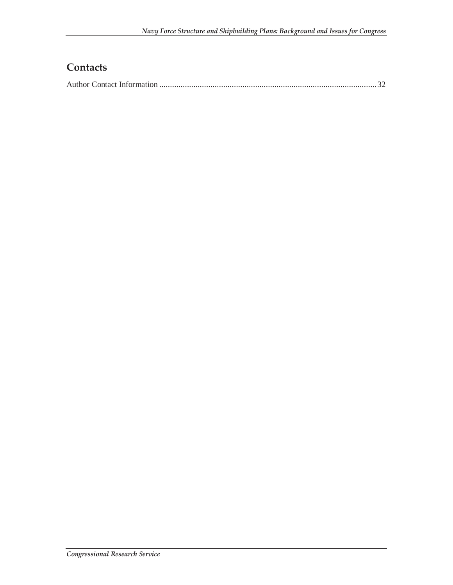## **Contacts**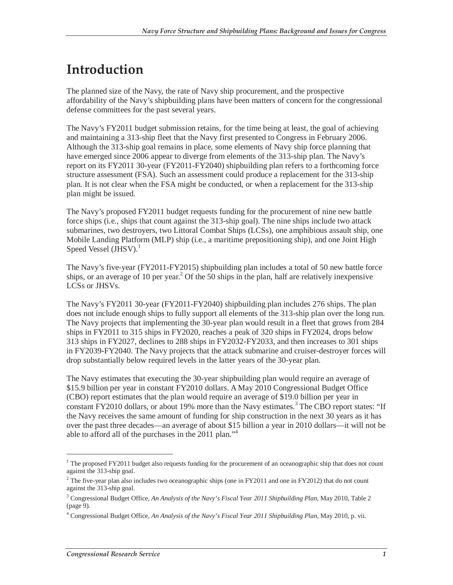# **Introduction**

The planned size of the Navy, the rate of Navy ship procurement, and the prospective affordability of the Navy's shipbuilding plans have been matters of concern for the congressional defense committees for the past several years.

The Navy's FY2011 budget submission retains, for the time being at least, the goal of achieving and maintaining a 313-ship fleet that the Navy first presented to Congress in February 2006. Although the 313-ship goal remains in place, some elements of Navy ship force planning that have emerged since 2006 appear to diverge from elements of the 313-ship plan. The Navy's report on its FY2011 30-year (FY2011-FY2040) shipbuilding plan refers to a forthcoming force structure assessment (FSA). Such an assessment could produce a replacement for the 313-ship plan. It is not clear when the FSA might be conducted, or when a replacement for the 313-ship plan might be issued.

The Navy's proposed FY2011 budget requests funding for the procurement of nine new battle force ships (i.e., ships that count against the 313-ship goal). The nine ships include two attack submarines, two destroyers, two Littoral Combat Ships (LCSs), one amphibious assault ship, one Mobile Landing Platform (MLP) ship (i.e., a maritime prepositioning ship), and one Joint High Speed Vessel  $(JHSV)$ .<sup>1</sup>

The Navy's five-year (FY2011-FY2015) shipbuilding plan includes a total of 50 new battle force ships, or an average of 10 per year.<sup>2</sup> Of the 50 ships in the plan, half are relatively inexpensive LCSs or JHSVs.

The Navy's FY2011 30-year (FY2011-FY2040) shipbuilding plan includes 276 ships. The plan does not include enough ships to fully support all elements of the 313-ship plan over the long run. The Navy projects that implementing the 30-year plan would result in a fleet that grows from 284 ships in FY2011 to 315 ships in FY2020, reaches a peak of 320 ships in FY2024, drops below 313 ships in FY2027, declines to 288 ships in FY2032-FY2033, and then increases to 301 ships in FY2039-FY2040. The Navy projects that the attack submarine and cruiser-destroyer forces will drop substantially below required levels in the latter years of the 30-year plan.

The Navy estimates that executing the 30-year shipbuilding plan would require an average of \$15.9 billion per year in constant FY2010 dollars. A May 2010 Congressional Budget Office (CBO) report estimates that the plan would require an average of \$19.0 billion per year in constant FY2010 dollars, or about 19% more than the Navy estimates.<sup>3</sup> The CBO report states: "If the Navy receives the same amount of funding for ship construction in the next 30 years as it has over the past three decades—an average of about \$15 billion a year in 2010 dollars—it will not be able to afford all of the purchases in the 2011 plan."<sup>4</sup>

-

<sup>&</sup>lt;sup>1</sup> The proposed FY2011 budget also requests funding for the procurement of an oceanographic ship that does not count against the 313-ship goal.

<sup>&</sup>lt;sup>2</sup> The five-year plan also includes two oceanographic ships (one in FY2011 and one in FY2012) that do not count against the 313-ship goal.

<sup>3</sup> Congressional Budget Office, *An Analysis of the Navy's Fiscal Year 2011 Shipbuilding Plan*, May 2010, Table 2 (page 9).

<sup>4</sup> Congressional Budget Office, *An Analysis of the Navy's Fiscal Year 2011 Shipbuilding Plan*, May 2010, p. vii.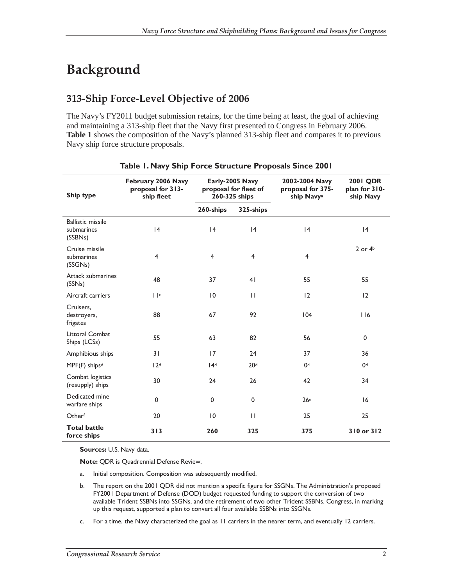# **Background**

### **313-Ship Force-Level Objective of 2006**

The Navy's FY2011 budget submission retains, for the time being at least, the goal of achieving and maintaining a 313-ship fleet that the Navy first presented to Congress in February 2006. **Table 1** shows the composition of the Navy's planned 313-ship fleet and compares it to previous Navy ship force structure proposals.

| Ship type                                         | February 2006 Navy<br>proposal for 313-<br>ship fleet | Early-2005 Navy<br>proposal for fleet of<br>260-325 ships |                 | 2002-2004 Navy<br>proposal for 375-<br>ship Navya | <b>2001 QDR</b><br>plan for 310-<br>ship Navy |
|---------------------------------------------------|-------------------------------------------------------|-----------------------------------------------------------|-----------------|---------------------------------------------------|-----------------------------------------------|
|                                                   |                                                       | 260-ships                                                 | 325-ships       |                                                   |                                               |
| <b>Ballistic missile</b><br>submarines<br>(SSBNs) | 4                                                     | 4                                                         | 4               | 4                                                 | 4                                             |
| Cruise missile<br>submarines<br>(SSGNs)           | $\overline{4}$                                        | $\overline{4}$                                            | $\overline{4}$  | $\overline{4}$                                    | $2$ or $4b$                                   |
| Attack submarines<br>(SSNs)                       | 48                                                    | 37                                                        | 4 <sub>1</sub>  | 55                                                | 55                                            |
| Aircraft carriers                                 | $\mathbf{  }$ c                                       | $\overline{10}$                                           | $\mathbf{H}$    | 12                                                | 12                                            |
| Cruisers,<br>destroyers,<br>frigates              | 88                                                    | 67                                                        | 92              | 104                                               | 116                                           |
| <b>Littoral Combat</b><br>Ships (LCSs)            | 55                                                    | 63                                                        | 82              | 56                                                | 0                                             |
| Amphibious ships                                  | 31                                                    | 17                                                        | 24              | 37                                                | 36                                            |
| MPF(F) ships <sup>d</sup>                         | 12 <sup>d</sup>                                       | 14d                                                       | 20 <sup>d</sup> | 0d                                                | 0 <sup>d</sup>                                |
| Combat logistics<br>(resupply) ships              | 30                                                    | 24                                                        | 26              | 42                                                | 34                                            |
| Dedicated mine<br>warfare ships                   | 0                                                     | 0                                                         | 0               | 26 <sup>e</sup>                                   | 16                                            |
| Otherf                                            | 20                                                    | $\overline{10}$                                           | $\mathbf{H}$    | 25                                                | 25                                            |
| <b>Total battle</b><br>force ships                | 313                                                   | 260                                                       | 325             | 375                                               | 310 or 312                                    |

### **Table 1. Navy Ship Force Structure Proposals Since 2001**

**Sources:** U.S. Navy data.

**Note:** QDR is Quadrennial Defense Review.

- a. Initial composition. Composition was subsequently modified.
- b. The report on the 2001 QDR did not mention a specific figure for SSGNs. The Administration's proposed FY2001 Department of Defense (DOD) budget requested funding to support the conversion of two available Trident SSBNs into SSGNs, and the retirement of two other Trident SSBNs. Congress, in marking up this request, supported a plan to convert all four available SSBNs into SSGNs.
- c. For a time, the Navy characterized the goal as 11 carriers in the nearer term, and eventually 12 carriers.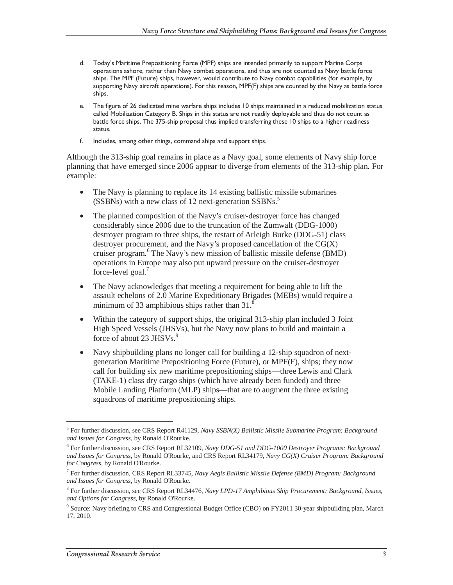- d. Today's Maritime Prepositioning Force (MPF) ships are intended primarily to support Marine Corps operations ashore, rather than Navy combat operations, and thus are not counted as Navy battle force ships. The MPF (Future) ships, however, would contribute to Navy combat capabilities (for example, by supporting Navy aircraft operations). For this reason, MPF(F) ships are counted by the Navy as battle force ships.
- e. The figure of 26 dedicated mine warfare ships includes 10 ships maintained in a reduced mobilization status called Mobilization Category B. Ships in this status are not readily deployable and thus do not count as battle force ships. The 375-ship proposal thus implied transferring these 10 ships to a higher readiness status.
- f. Includes, among other things, command ships and support ships.

Although the 313-ship goal remains in place as a Navy goal, some elements of Navy ship force planning that have emerged since 2006 appear to diverge from elements of the 313-ship plan. For example:

- The Navy is planning to replace its 14 existing ballistic missile submarines (SSBNs) with a new class of 12 next-generation SSBNs.<sup>5</sup>
- The planned composition of the Navy's cruiser-destroyer force has changed considerably since 2006 due to the truncation of the Zumwalt (DDG-1000) destroyer program to three ships, the restart of Arleigh Burke (DDG-51) class destroyer procurement, and the Navy's proposed cancellation of the CG(X) cruiser program.<sup>6</sup> The Navy's new mission of ballistic missile defense (BMD) operations in Europe may also put upward pressure on the cruiser-destroyer force-level goal.<sup>7</sup>
- The Navy acknowledges that meeting a requirement for being able to lift the assault echelons of 2.0 Marine Expeditionary Brigades (MEBs) would require a minimum of 33 amphibious ships rather than 31.<sup>8</sup>
- Within the category of support ships, the original 313-ship plan included 3 Joint High Speed Vessels (JHSVs), but the Navy now plans to build and maintain a force of about 23 JHSVs. $9$
- Navy shipbuilding plans no longer call for building a 12-ship squadron of nextgeneration Maritime Prepositioning Force (Future), or MPF(F), ships; they now call for building six new maritime prepositioning ships—three Lewis and Clark (TAKE-1) class dry cargo ships (which have already been funded) and three Mobile Landing Platform (MLP) ships—that are to augment the three existing squadrons of maritime prepositioning ships.

<sup>5</sup> For further discussion, see CRS Report R41129, *Navy SSBN(X) Ballistic Missile Submarine Program: Background and Issues for Congress*, by Ronald O'Rourke.

<sup>6</sup> For further discussion, see CRS Report RL32109, *Navy DDG-51 and DDG-1000 Destroyer Programs: Background and Issues for Congress*, by Ronald O'Rourke, and CRS Report RL34179, *Navy CG(X) Cruiser Program: Background for Congress*, by Ronald O'Rourke.

<sup>7</sup> For further discussion, CRS Report RL33745, *Navy Aegis Ballistic Missile Defense (BMD) Program: Background and Issues for Congress*, by Ronald O'Rourke.

<sup>8</sup> For further discussion, see CRS Report RL34476, *Navy LPD-17 Amphibious Ship Procurement: Background, Issues, and Options for Congress*, by Ronald O'Rourke.

<sup>&</sup>lt;sup>9</sup> Source: Navy briefing to CRS and Congressional Budget Office (CBO) on FY2011 30-year shipbuilding plan, March 17, 2010.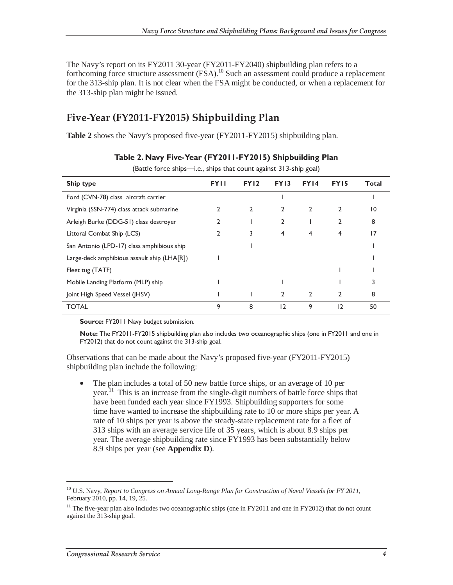The Navy's report on its FY2011 30-year (FY2011-FY2040) shipbuilding plan refers to a forthcoming force structure assessment (FSA).<sup>10</sup> Such an assessment could produce a replacement for the 313-ship plan. It is not clear when the FSA might be conducted, or when a replacement for the 313-ship plan might be issued.

### **Five-Year (FY2011-FY2015) Shipbuilding Plan**

**Table 2** shows the Navy's proposed five-year (FY2011-FY2015) shipbuilding plan.

| $\mu$ Dattic Torte simps n.c., simps that count against 313-simp goal) |             |             |                |                |                  |       |
|------------------------------------------------------------------------|-------------|-------------|----------------|----------------|------------------|-------|
| Ship type                                                              | <b>FYII</b> | <b>FY12</b> | <b>FY13</b>    | FY14           | FY <sub>15</sub> | Total |
| Ford (CVN-78) class aircraft carrier                                   |             |             |                |                |                  |       |
| Virginia (SSN-774) class attack submarine                              |             | 2           | 2              | $\overline{2}$ | 2                | 10    |
| Arleigh Burke (DDG-51) class destroyer                                 | 2           |             | 2              |                | 2                | 8     |
| Littoral Combat Ship (LCS)                                             | 2           | 3           | 4              | 4              | 4                | 17    |
| San Antonio (LPD-17) class amphibious ship                             |             |             |                |                |                  |       |
| Large-deck amphibious assault ship (LHA[R])                            |             |             |                |                |                  |       |
| Fleet tug (TATF)                                                       |             |             |                |                |                  |       |
| Mobile Landing Platform (MLP) ship                                     |             |             |                |                |                  |       |
| Joint High Speed Vessel (JHSV)                                         |             |             | 2              | 2              | 2                | 8     |
| <b>TOTAL</b>                                                           | 9           | 8           | $\overline{2}$ | 9              | 12               | 50    |

#### **Table 2. Navy Five-Year (FY2011-FY2015) Shipbuilding Plan**

(Battle force ships—i.e., ships that count against 313-ship goal)

**Source:** FY2011 Navy budget submission.

**Note:** The FY2011-FY2015 shipbuilding plan also includes two oceanographic ships (one in FY2011 and one in FY2012) that do not count against the 313-ship goal.

Observations that can be made about the Navy's proposed five-year (FY2011-FY2015) shipbuilding plan include the following:

The plan includes a total of 50 new battle force ships, or an average of 10 per year.11 This is an increase from the single-digit numbers of battle force ships that have been funded each year since FY1993. Shipbuilding supporters for some time have wanted to increase the shipbuilding rate to 10 or more ships per year. A rate of 10 ships per year is above the steady-state replacement rate for a fleet of 313 ships with an average service life of 35 years, which is about 8.9 ships per year. The average shipbuilding rate since FY1993 has been substantially below 8.9 ships per year (see **Appendix D**).

<sup>10</sup> U.S. Navy, *Report to Congress on Annual Long-Range Plan for Construction of Naval Vessels for FY 2011*, February 2010, pp. 14, 19, 25.

<sup>&</sup>lt;sup>11</sup> The five-year plan also includes two oceanographic ships (one in FY2011 and one in FY2012) that do not count against the 313-ship goal.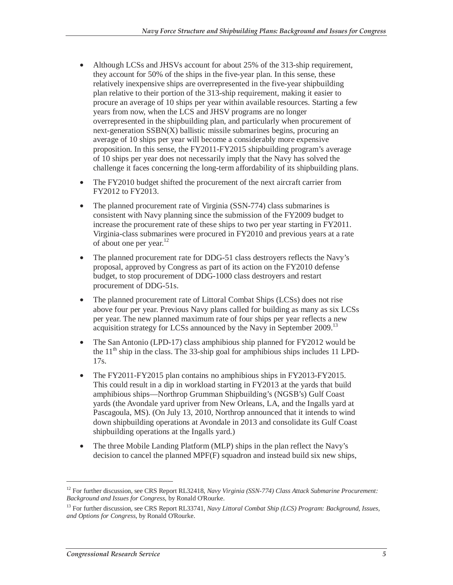- Although LCSs and JHSVs account for about 25% of the 313-ship requirement, they account for 50% of the ships in the five-year plan. In this sense, these relatively inexpensive ships are overrepresented in the five-year shipbuilding plan relative to their portion of the 313-ship requirement, making it easier to procure an average of 10 ships per year within available resources. Starting a few years from now, when the LCS and JHSV programs are no longer overrepresented in the shipbuilding plan, and particularly when procurement of next-generation SSBN(X) ballistic missile submarines begins, procuring an average of 10 ships per year will become a considerably more expensive proposition. In this sense, the FY2011-FY2015 shipbuilding program's average of 10 ships per year does not necessarily imply that the Navy has solved the challenge it faces concerning the long-term affordability of its shipbuilding plans.
- The FY2010 budget shifted the procurement of the next aircraft carrier from FY2012 to FY2013.
- The planned procurement rate of Virginia (SSN-774) class submarines is consistent with Navy planning since the submission of the FY2009 budget to increase the procurement rate of these ships to two per year starting in FY2011. Virginia-class submarines were procured in FY2010 and previous years at a rate of about one per year. $^{12}$
- The planned procurement rate for DDG-51 class destroyers reflects the Navy's proposal, approved by Congress as part of its action on the FY2010 defense budget, to stop procurement of DDG-1000 class destroyers and restart procurement of DDG-51s.
- The planned procurement rate of Littoral Combat Ships (LCSs) does not rise above four per year. Previous Navy plans called for building as many as six LCSs per year. The new planned maximum rate of four ships per year reflects a new acquisition strategy for LCSs announced by the Navy in September 2009.<sup>13</sup>
- The San Antonio (LPD-17) class amphibious ship planned for FY2012 would be the  $11<sup>th</sup>$  ship in the class. The 33-ship goal for amphibious ships includes 11 LPD-17s.
- The FY2011-FY2015 plan contains no amphibious ships in FY2013-FY2015. This could result in a dip in workload starting in FY2013 at the yards that build amphibious ships—Northrop Grumman Shipbuilding's (NGSB's) Gulf Coast yards (the Avondale yard upriver from New Orleans, LA, and the Ingalls yard at Pascagoula, MS). (On July 13, 2010, Northrop announced that it intends to wind down shipbuilding operations at Avondale in 2013 and consolidate its Gulf Coast shipbuilding operations at the Ingalls yard.)
- The three Mobile Landing Platform (MLP) ships in the plan reflect the Navy's decision to cancel the planned MPF(F) squadron and instead build six new ships,

<sup>&</sup>lt;sup>12</sup> For further discussion, see CRS Report RL32418, *Navy Virginia (SSN-774) Class Attack Submarine Procurement: Background and Issues for Congress*, by Ronald O'Rourke.

<sup>&</sup>lt;sup>13</sup> For further discussion, see CRS Report RL33741, *Navy Littoral Combat Ship (LCS) Program: Background, Issues, and Options for Congress*, by Ronald O'Rourke.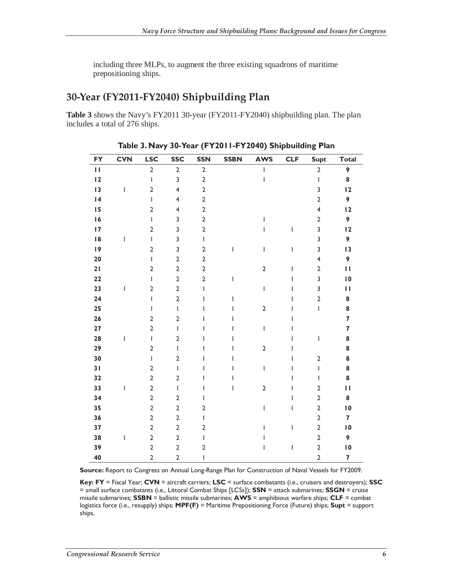including three MLPs, to augment the three existing squadrons of maritime prepositioning ships.

### **30-Year (FY2011-FY2040) Shipbuilding Plan**

**Table 3** shows the Navy's FY2011 30-year (FY2011-FY2040) shipbuilding plan. The plan includes a total of 276 ships.

| <b>FY</b> | <b>CVN</b>               | <b>LSC</b>     | <b>SSC</b>              | <b>SSN</b>     | <b>SSBN</b> | <b>AWS</b>                                                                                                                                                                                                                                                                                                                                                                       | <b>CLF</b> | <b>Supt</b>             | <b>Total</b>            |
|-----------|--------------------------|----------------|-------------------------|----------------|-------------|----------------------------------------------------------------------------------------------------------------------------------------------------------------------------------------------------------------------------------------------------------------------------------------------------------------------------------------------------------------------------------|------------|-------------------------|-------------------------|
| П         |                          | $\overline{2}$ | $\overline{2}$          | $\overline{2}$ |             | I                                                                                                                                                                                                                                                                                                                                                                                |            | $\overline{2}$          | 9                       |
| 12        |                          | $\overline{1}$ | 3                       | $\overline{2}$ |             | T                                                                                                                                                                                                                                                                                                                                                                                |            | I                       | 8                       |
| 13        | $\overline{1}$           | $\overline{2}$ | $\overline{\mathbf{4}}$ | $\overline{2}$ |             |                                                                                                                                                                                                                                                                                                                                                                                  |            | 3                       | 12                      |
| 4         |                          | $\overline{1}$ | $\overline{\mathbf{4}}$ | $\overline{2}$ |             |                                                                                                                                                                                                                                                                                                                                                                                  |            | $\overline{2}$          | 9                       |
| 15        |                          | $\overline{2}$ | $\overline{\mathbf{4}}$ | $\overline{2}$ |             |                                                                                                                                                                                                                                                                                                                                                                                  |            | $\overline{\mathbf{4}}$ | 12                      |
| 16        |                          | $\mathbf{I}$   | 3                       | $\mathbf 2$    |             | T                                                                                                                                                                                                                                                                                                                                                                                |            | $\mathbf 2$             | 9                       |
| 17        |                          | $\overline{2}$ | 3                       | $\overline{2}$ |             | ı                                                                                                                                                                                                                                                                                                                                                                                | L          | 3                       | 12                      |
| 18        | I                        | $\overline{1}$ | 3                       | $\overline{1}$ |             |                                                                                                                                                                                                                                                                                                                                                                                  |            | 3                       | 9                       |
| 19        |                          | $\overline{2}$ | 3                       | $\overline{2}$ | T           | T                                                                                                                                                                                                                                                                                                                                                                                | L          | 3                       | 13                      |
| 20        |                          | $\overline{1}$ | $\overline{2}$          | $\overline{2}$ |             |                                                                                                                                                                                                                                                                                                                                                                                  |            | $\overline{\mathbf{4}}$ | 9                       |
| 21        |                          | $\overline{2}$ | $\overline{2}$          | $\overline{2}$ |             | $\overline{2}$                                                                                                                                                                                                                                                                                                                                                                   | T          | $\mathbf 2$             | П                       |
| 22        |                          | $\overline{1}$ | $\overline{2}$          | $\overline{2}$ | I           |                                                                                                                                                                                                                                                                                                                                                                                  | T          | 3                       | $\overline{10}$         |
| 23        | T                        | $\overline{2}$ | $\overline{2}$          | T              |             | $\overline{1}$                                                                                                                                                                                                                                                                                                                                                                   | I          | 3                       | П                       |
| 24        |                          | $\mathbf{I}$   | $\overline{2}$          | ı              | I           |                                                                                                                                                                                                                                                                                                                                                                                  | ı          | $\mathbf 2$             | ${\bf 8}$               |
| 25        |                          | $\overline{1}$ | $\mathsf I$             | I              | I           | $\mathbf 2$                                                                                                                                                                                                                                                                                                                                                                      | T          | $\overline{1}$          | ${\bf 8}$               |
| 26        |                          | $\overline{2}$ | $\overline{2}$          | ı              | ı           |                                                                                                                                                                                                                                                                                                                                                                                  | ı          |                         | $\overline{\mathbf{z}}$ |
| 27        |                          | $\overline{2}$ | T                       | ı              | I           | T                                                                                                                                                                                                                                                                                                                                                                                | ı          |                         | 7                       |
| 28        | I                        | $\overline{1}$ | $\overline{2}$          | I              | T           |                                                                                                                                                                                                                                                                                                                                                                                  | I          | I                       | 8                       |
| 29        |                          | $\overline{2}$ | T                       | ı              | I           | $\mathbf 2$                                                                                                                                                                                                                                                                                                                                                                      | I          |                         | 8                       |
| 30        |                          | $\overline{1}$ | $\overline{2}$          |                | ı           |                                                                                                                                                                                                                                                                                                                                                                                  | I          | $\mathbf 2$             | 8                       |
| 31        |                          | $\overline{2}$ | $\mathsf I$             | ı              | ı           | $\begin{array}{c} \rule{0pt}{2.5ex} \rule{0pt}{2.5ex} \rule{0pt}{2.5ex} \rule{0pt}{2.5ex} \rule{0pt}{2.5ex} \rule{0pt}{2.5ex} \rule{0pt}{2.5ex} \rule{0pt}{2.5ex} \rule{0pt}{2.5ex} \rule{0pt}{2.5ex} \rule{0pt}{2.5ex} \rule{0pt}{2.5ex} \rule{0pt}{2.5ex} \rule{0pt}{2.5ex} \rule{0pt}{2.5ex} \rule{0pt}{2.5ex} \rule{0pt}{2.5ex} \rule{0pt}{2.5ex} \rule{0pt}{2.5ex} \rule{0$ | I          | I                       | 8                       |
| 32        |                          | $\overline{2}$ | $\overline{2}$          |                | ı           |                                                                                                                                                                                                                                                                                                                                                                                  | ı          | T                       | 8                       |
| 33        | $\overline{\phantom{a}}$ | $\overline{2}$ | $\mathsf I$             | I              | T           | $\overline{2}$                                                                                                                                                                                                                                                                                                                                                                   | T          | $\overline{2}$          | П                       |
| 34        |                          | $\overline{2}$ | $\overline{2}$          | T              |             |                                                                                                                                                                                                                                                                                                                                                                                  | T          | $\overline{2}$          | 8                       |
| 35        |                          | $\overline{2}$ | $\overline{2}$          | $\overline{2}$ |             | I                                                                                                                                                                                                                                                                                                                                                                                | T          | $\overline{2}$          | 10                      |
| 36        |                          | $\overline{2}$ | $\overline{2}$          | L              |             |                                                                                                                                                                                                                                                                                                                                                                                  |            | $\mathbf 2$             | $\overline{\mathbf{z}}$ |
| 37        |                          | $\overline{2}$ | $\overline{2}$          | $\overline{2}$ |             | L                                                                                                                                                                                                                                                                                                                                                                                | I          | $\overline{2}$          | $\overline{10}$         |
| 38        | $\overline{1}$           | $\overline{2}$ | $\overline{2}$          | T              |             | ı                                                                                                                                                                                                                                                                                                                                                                                |            | $\overline{2}$          | 9                       |
| 39        |                          | $\overline{2}$ | $\overline{2}$          | $\overline{2}$ |             | I                                                                                                                                                                                                                                                                                                                                                                                | I          | $\mathbf 2$             | $\overline{10}$         |
| 40        |                          | $\overline{2}$ | $\overline{2}$          | I              |             |                                                                                                                                                                                                                                                                                                                                                                                  |            | $\overline{2}$          | $\overline{\mathbf{z}}$ |

#### **Table 3. Navy 30-Year (FY2011-FY2040) Shipbuilding Plan**

**Source:** Report to Congress on Annual Long-Range Plan for Construction of Naval Vessels for FY2009.

**Key: FY** = Fiscal Year; **CVN** = aircraft carriers; **LSC** = surface combatants (i.e., cruisers and destroyers); **SSC** = small surface combatants (i.e., Littoral Combat Ships [LCSs]); **SSN** = attack submarines; **SSGN** = cruise missile submarines; **SSBN** = ballistic missile submarines; **AWS** = amphibious warfare ships; **CLF** = combat logistics force (i.e., resupply) ships; **MPF(F)** = Maritime Prepositioning Force (Future) ships; **Supt** = support ships.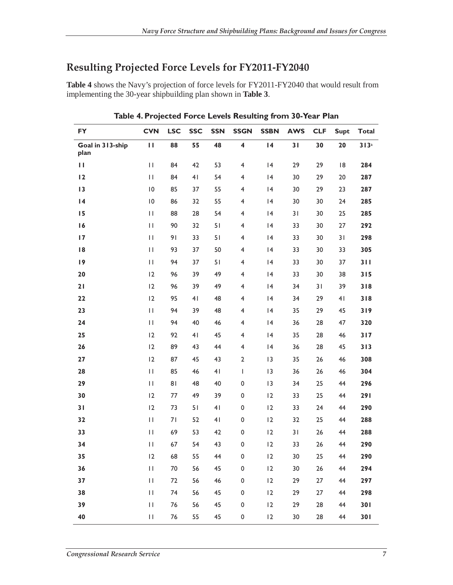### **Resulting Projected Force Levels for FY2011-FY2040**

**Table 4** shows the Navy's projection of force levels for FY2011-FY2040 that would result from implementing the 30-year shipbuilding plan shown in **Table 3**.

| <b>FY</b>                | <b>CVN</b>                                                                                   | <b>LSC</b> | <b>SSC</b>     | <b>SSN</b>     | <b>SSGN</b>             | <b>SSBN</b> | <b>AWS</b> | <b>CLF</b> | <b>Supt</b> | <b>Total</b> |
|--------------------------|----------------------------------------------------------------------------------------------|------------|----------------|----------------|-------------------------|-------------|------------|------------|-------------|--------------|
| Goal in 313-ship<br>plan | П                                                                                            | 88         | 55             | 48             | 4                       | 4           | 31         | 30         | 20          | 313a         |
| $\mathbf{H}$             | $\mathbf{H}$                                                                                 | 84         | 42             | 53             | $\overline{\mathbf{4}}$ | 4           | 29         | 29         | 8           | 284          |
| 12                       | $\mathbf{H}$                                                                                 | 84         | 41             | 54             | $\overline{\mathbf{4}}$ | 4           | 30         | 29         | 20          | 287          |
| 13                       | $\overline{10}$                                                                              | 85         | 37             | 55             | 4                       | 4           | 30         | 29         | 23          | 287          |
| 4                        | $\overline{\mathsf{I}}\,\mathsf{0}$                                                          | 86         | 32             | 55             | 4                       | 4           | 30         | 30         | 24          | 285          |
| 15                       | $\mathsf{H}% _{T}=\mathsf{H}_{T}\left( \mathcal{M}_{T}\right)$                               | 88         | 28             | 54             | 4                       | 4           | 31         | 30         | 25          | 285          |
| 16                       | $\mathbf{H}$                                                                                 | 90         | 32             | 51             | $\overline{\mathbf{4}}$ | 4           | 33         | 30         | 27          | 292          |
| 17                       | $\mathbf{H}$                                                                                 | 91         | 33             | 51             | 4                       | 4           | 33         | 30         | 31          | 298          |
| 18                       | $\mathbf{H}$                                                                                 | 93         | 37             | 50             | $\overline{\mathbf{4}}$ | 4           | 33         | 30         | 33          | 305          |
| 19                       | $\mathbf{H}$                                                                                 | 94         | 37             | 51             | $\overline{\mathbf{4}}$ | 4           | 33         | 30         | 37          | 311          |
| 20                       | 12                                                                                           | 96         | 39             | 49             | $\overline{\mathbf{4}}$ | 4           | 33         | 30         | 38          | 315          |
| 21                       | 12                                                                                           | 96         | 39             | 49             | 4                       | 4           | 34         | 31         | 39          | 318          |
| 22                       | 12                                                                                           | 95         | 4 <sub>l</sub> | 48             | $\overline{\mathbf{4}}$ | 4           | 34         | 29         | 41          | 318          |
| 23                       | $\mathbf{H}$                                                                                 | 94         | 39             | 48             | $\overline{\mathbf{4}}$ | 4           | 35         | 29         | 45          | 319          |
| 24                       | $\mathsf{H}% _{T}=\mathsf{H}_{T}\left( \mathcal{M}_{T}\right)$                               | 94         | 40             | 46             | $\overline{4}$          | 4           | 36         | 28         | 47          | 320          |
| 25                       | 12                                                                                           | 92         | 4 <sub>1</sub> | 45             | 4                       | 4           | 35         | 28         | 46          | 317          |
| 26                       | 12                                                                                           | 89         | 43             | 44             | $\overline{4}$          | 4           | 36         | 28         | 45          | 313          |
| 27                       | 12                                                                                           | 87         | 45             | 43             | $\overline{2}$          | 3           | 35         | 26         | 46          | 308          |
| 28                       | $\mathbf{H}$                                                                                 | 85         | 46             | 4 <sub>1</sub> | T                       | 13          | 36         | 26         | 46          | 304          |
| 29                       | $\mathbf{H}$                                                                                 | 81         | 48             | 40             | 0                       | 13          | 34         | 25         | 44          | 296          |
| 30                       | 12                                                                                           | 77         | 49             | 39             | $\pmb{0}$               | 12          | 33         | 25         | 44          | 291          |
| 31                       | 12                                                                                           | 73         | 51             | 4 <sub>1</sub> | $\pmb{0}$               | 12          | 33         | 24         | 44          | 290          |
| 32                       | $\mathbf{H}$                                                                                 | 71         | 52             | 41             | 0                       | 12          | 32         | 25         | 44          | 288          |
| 33                       | $\mathbf{H}$                                                                                 | 69         | 53             | 42             | 0                       | 12          | 31         | 26         | 44          | 288          |
| 34                       | $\mathsf{H}% _{T}=\mathsf{H}_{T}\left( \mathcal{M}_{T}\right)$                               | 67         | 54             | 43             | $\pmb{0}$               | 12          | 33         | 26         | 44          | 290          |
| 35                       | 12                                                                                           | 68         | 55             | 44             | 0                       | 12          | 30         | 25         | 44          | 290          |
| 36                       | $\mathsf{H}% _{T}=\mathsf{H}_{T}\left( \mathcal{A}_{T}\right)$                               | 70         | 56             | 45             | $\pmb{0}$               | 12          | 30         | 26         | 44          | 294          |
| 37                       | $\mathsf{H}% _{0}\left( \mathcal{A}_{0}\right) =\mathsf{H}_{0}\left( \mathcal{A}_{0}\right)$ | 72         | 56             | 46             | $\pmb{0}$               | 12          | 29         | 27         | 44          | 297          |
| 38                       | $\mathbf{H}$                                                                                 | 74         | 56             | 45             | $\pmb{0}$               | 12          | 29         | 27         | 44          | 298          |
| 39                       | $\mathbf{H}$                                                                                 | 76         | 56             | 45             | $\pmb{0}$               | 12          | 29         | 28         | 44          | 301          |
| 40                       | $\mathbf{H}$                                                                                 | 76         | 55             | 45             | 0                       | 12          | 30         | 28         | 44          | 301          |

**Table 4. Projected Force Levels Resulting from 30-Year Plan**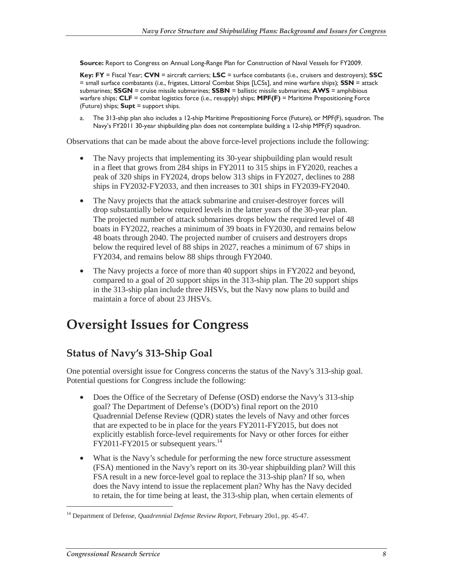**Source:** Report to Congress on Annual Long-Range Plan for Construction of Naval Vessels for FY2009.

**Key: FY** = Fiscal Year; **CVN** = aircraft carriers; **LSC** = surface combatants (i.e., cruisers and destroyers); **SSC** = small surface combatants (i.e., frigates, Littoral Combat Ships [LCSs], and mine warfare ships); **SSN** = attack submarines; **SSGN** = cruise missile submarines; **SSBN** = ballistic missile submarines; **AWS** = amphibious warfare ships; **CLF** = combat logistics force (i.e., resupply) ships; **MPF(F)** = Maritime Prepositioning Force (Future) ships; **Supt** = support ships.

a. The 313-ship plan also includes a 12-ship Maritime Prepositioning Force (Future), or MPF(F), squadron. The Navy's FY2011 30-year shipbuilding plan does not contemplate building a 12-ship MPF(F) squadron.

Observations that can be made about the above force-level projections include the following:

- The Navy projects that implementing its 30-year shipbuilding plan would result in a fleet that grows from 284 ships in FY2011 to 315 ships in FY2020, reaches a peak of 320 ships in FY2024, drops below 313 ships in FY2027, declines to 288 ships in FY2032-FY2033, and then increases to 301 ships in FY2039-FY2040.
- The Navy projects that the attack submarine and cruiser-destroyer forces will drop substantially below required levels in the latter years of the 30-year plan. The projected number of attack submarines drops below the required level of 48 boats in FY2022, reaches a minimum of 39 boats in FY2030, and remains below 48 boats through 2040. The projected number of cruisers and destroyers drops below the required level of 88 ships in 2027, reaches a minimum of 67 ships in FY2034, and remains below 88 ships through FY2040.
- The Navy projects a force of more than 40 support ships in FY2022 and beyond, compared to a goal of 20 support ships in the 313-ship plan. The 20 support ships in the 313-ship plan include three JHSVs, but the Navy now plans to build and maintain a force of about 23 JHSVs.

## **Oversight Issues for Congress**

### **Status of Navy's 313-Ship Goal**

One potential oversight issue for Congress concerns the status of the Navy's 313-ship goal. Potential questions for Congress include the following:

- Does the Office of the Secretary of Defense (OSD) endorse the Navy's 313-ship goal? The Department of Defense's (DOD's) final report on the 2010 Quadrennial Defense Review (QDR) states the levels of Navy and other forces that are expected to be in place for the years FY2011-FY2015, but does not explicitly establish force-level requirements for Navy or other forces for either  $FY2011-FY2015$  or subsequent years.<sup>14</sup>
- What is the Navy's schedule for performing the new force structure assessment (FSA) mentioned in the Navy's report on its 30-year shipbuilding plan? Will this FSA result in a new force-level goal to replace the 313-ship plan? If so, when does the Navy intend to issue the replacement plan? Why has the Navy decided to retain, the for time being at least, the 313-ship plan, when certain elements of

-

<sup>14</sup> Department of Defense, *Quadrennial Defense Review Report*, February 20o1, pp. 45-47.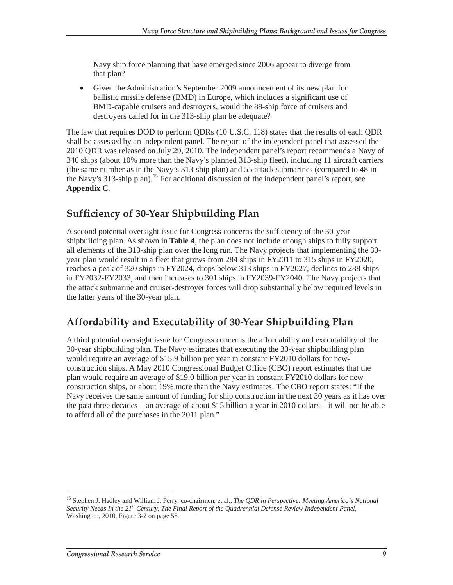Navy ship force planning that have emerged since 2006 appear to diverge from that plan?

• Given the Administration's September 2009 announcement of its new plan for ballistic missile defense (BMD) in Europe, which includes a significant use of BMD-capable cruisers and destroyers, would the 88-ship force of cruisers and destroyers called for in the 313-ship plan be adequate?

The law that requires DOD to perform QDRs (10 U.S.C. 118) states that the results of each QDR shall be assessed by an independent panel. The report of the independent panel that assessed the 2010 QDR was released on July 29, 2010. The independent panel's report recommends a Navy of 346 ships (about 10% more than the Navy's planned 313-ship fleet), including 11 aircraft carriers (the same number as in the Navy's 313-ship plan) and 55 attack submarines (compared to 48 in the Navy's 313-ship plan).<sup>15</sup> For additional discussion of the independent panel's report, see **Appendix C**.

### **Sufficiency of 30-Year Shipbuilding Plan**

A second potential oversight issue for Congress concerns the sufficiency of the 30-year shipbuilding plan. As shown in **Table 4**, the plan does not include enough ships to fully support all elements of the 313-ship plan over the long run. The Navy projects that implementing the 30 year plan would result in a fleet that grows from 284 ships in FY2011 to 315 ships in FY2020, reaches a peak of 320 ships in FY2024, drops below 313 ships in FY2027, declines to 288 ships in FY2032-FY2033, and then increases to 301 ships in FY2039-FY2040. The Navy projects that the attack submarine and cruiser-destroyer forces will drop substantially below required levels in the latter years of the 30-year plan.

## **Affordability and Executability of 30-Year Shipbuilding Plan**

A third potential oversight issue for Congress concerns the affordability and executability of the 30-year shipbuilding plan. The Navy estimates that executing the 30-year shipbuilding plan would require an average of \$15.9 billion per year in constant FY2010 dollars for newconstruction ships. A May 2010 Congressional Budget Office (CBO) report estimates that the plan would require an average of \$19.0 billion per year in constant FY2010 dollars for newconstruction ships, or about 19% more than the Navy estimates. The CBO report states: "If the Navy receives the same amount of funding for ship construction in the next 30 years as it has over the past three decades—an average of about \$15 billion a year in 2010 dollars—it will not be able to afford all of the purchases in the 2011 plan."

-

<sup>15</sup> Stephen J. Hadley and William J. Perry, co-chairmen, et al., *The QDR in Perspective: Meeting America's National*  Security Needs In the 21<sup>st</sup> Century, The Final Report of the Quadrennial Defense Review Independent Panel, Washington, 2010, Figure 3-2 on page 58.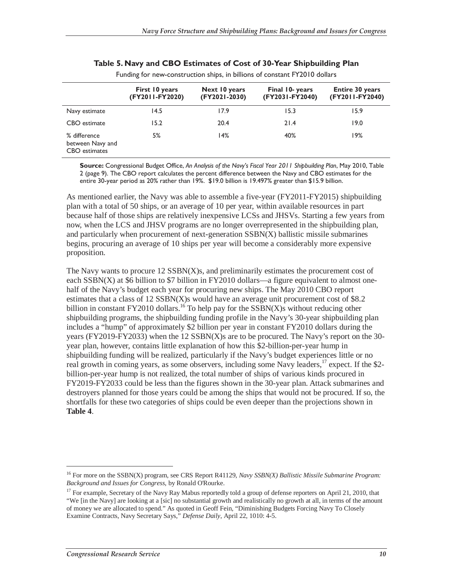|                                                   | First 10 years<br>(FY2011-FY2020) | Next 10 years<br>(FY2021-2030) | Final 10- years<br>(FY2031-FY2040) | <b>Entire 30 years</b><br>(FY2011-FY2040) |
|---------------------------------------------------|-----------------------------------|--------------------------------|------------------------------------|-------------------------------------------|
| Navy estimate                                     | 14.5                              | 17.9                           | 15.3                               | 15.9                                      |
| CBO estimate                                      | 15.2                              | 20.4                           | 21.4                               | 19.0                                      |
| % difference<br>between Navy and<br>CBO estimates | 5%                                | 14%                            | 40%                                | 19%                                       |

#### **Table 5. Navy and CBO Estimates of Cost of 30-Year Shipbuilding Plan**

Funding for new-construction ships, in billions of constant FY2010 dollars

**Source:** Congressional Budget Office, *An Analysis of the Navy's Fiscal Year 2011 Shipbuilding Plan*, May 2010, Table 2 (page 9). The CBO report calculates the percent difference between the Navy and CBO estimates for the entire 30-year period as 20% rather than 19%. \$19.0 billion is 19.497% greater than \$15.9 billion.

As mentioned earlier, the Navy was able to assemble a five-year (FY2011-FY2015) shipbuilding plan with a total of 50 ships, or an average of 10 per year, within available resources in part because half of those ships are relatively inexpensive LCSs and JHSVs. Starting a few years from now, when the LCS and JHSV programs are no longer overrepresented in the shipbuilding plan, and particularly when procurement of next-generation SSBN(X) ballistic missile submarines begins, procuring an average of 10 ships per year will become a considerably more expensive proposition.

The Navy wants to procure  $12$  SSBN $(X)$ s, and preliminarily estimates the procurement cost of each  $SSBN(X)$  at \$6 billion to \$7 billion in FY2010 dollars—a figure equivalent to almost onehalf of the Navy's budget each year for procuring new ships. The May 2010 CBO report estimates that a class of  $12$  SSBN(X)s would have an average unit procurement cost of \$8.2 billion in constant FY2010 dollars.<sup>16</sup> To help pay for the  $SSBN(X)$ s without reducing other shipbuilding programs, the shipbuilding funding profile in the Navy's 30-year shipbuilding plan includes a "hump" of approximately \$2 billion per year in constant FY2010 dollars during the years (FY2019-FY2033) when the 12 SSBN(X)s are to be procured. The Navy's report on the 30 year plan, however, contains little explanation of how this \$2-billion-per-year hump in shipbuilding funding will be realized, particularly if the Navy's budget experiences little or no real growth in coming years, as some observers, including some Navy leaders,<sup>17</sup> expect. If the \$2billion-per-year hump is not realized, the total number of ships of various kinds procured in FY2019-FY2033 could be less than the figures shown in the 30-year plan. Attack submarines and destroyers planned for those years could be among the ships that would not be procured. If so, the shortfalls for these two categories of ships could be even deeper than the projections shown in **Table 4**.

<sup>16</sup> For more on the SSBN(X) program, see CRS Report R41129, *Navy SSBN(X) Ballistic Missile Submarine Program: Background and Issues for Congress*, by Ronald O'Rourke.

<sup>&</sup>lt;sup>17</sup> For example, Secretary of the Navy Ray Mabus reportedly told a group of defense reporters on April 21, 2010, that "We [in the Navy] are looking at a [sic] no substantial growth and realistically no growth at all, in terms of the amount of money we are allocated to spend." As quoted in Geoff Fein, "Diminishing Budgets Forcing Navy To Closely Examine Contracts, Navy Secretary Says," *Defense Daily*, April 22, 1010: 4-5.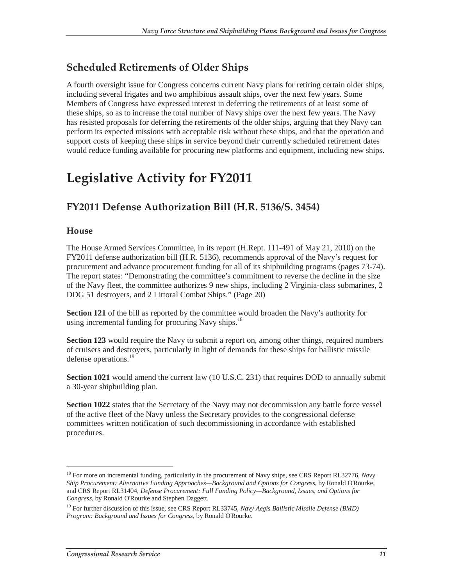### **Scheduled Retirements of Older Ships**

A fourth oversight issue for Congress concerns current Navy plans for retiring certain older ships, including several frigates and two amphibious assault ships, over the next few years. Some Members of Congress have expressed interest in deferring the retirements of at least some of these ships, so as to increase the total number of Navy ships over the next few years. The Navy has resisted proposals for deferring the retirements of the older ships, arguing that they Navy can perform its expected missions with acceptable risk without these ships, and that the operation and support costs of keeping these ships in service beyond their currently scheduled retirement dates would reduce funding available for procuring new platforms and equipment, including new ships.

# **Legislative Activity for FY2011**

### **FY2011 Defense Authorization Bill (H.R. 5136/S. 3454)**

### **House**

<u>.</u>

The House Armed Services Committee, in its report (H.Rept. 111-491 of May 21, 2010) on the FY2011 defense authorization bill (H.R. 5136), recommends approval of the Navy's request for procurement and advance procurement funding for all of its shipbuilding programs (pages 73-74). The report states: "Demonstrating the committee's commitment to reverse the decline in the size of the Navy fleet, the committee authorizes 9 new ships, including 2 Virginia-class submarines, 2 DDG 51 destroyers, and 2 Littoral Combat Ships." (Page 20)

**Section 121** of the bill as reported by the committee would broaden the Navy's authority for using incremental funding for procuring Navy ships. $^{18}$ 

**Section 123** would require the Navy to submit a report on, among other things, required numbers of cruisers and destroyers, particularly in light of demands for these ships for ballistic missile defense operations.<sup>19</sup>

Section 1021 would amend the current law (10 U.S.C. 231) that requires DOD to annually submit a 30-year shipbuilding plan.

**Section 1022** states that the Secretary of the Navy may not decommission any battle force vessel of the active fleet of the Navy unless the Secretary provides to the congressional defense committees written notification of such decommissioning in accordance with established procedures.

<sup>18</sup> For more on incremental funding, particularly in the procurement of Navy ships, see CRS Report RL32776, *Navy Ship Procurement: Alternative Funding Approaches—Background and Options for Congress*, by Ronald O'Rourke, and CRS Report RL31404, *Defense Procurement: Full Funding Policy—Background, Issues, and Options for Congress*, by Ronald O'Rourke and Stephen Daggett.

<sup>&</sup>lt;sup>19</sup> For further discussion of this issue, see CRS Report RL33745, *Navy Aegis Ballistic Missile Defense (BMD) Program: Background and Issues for Congress*, by Ronald O'Rourke.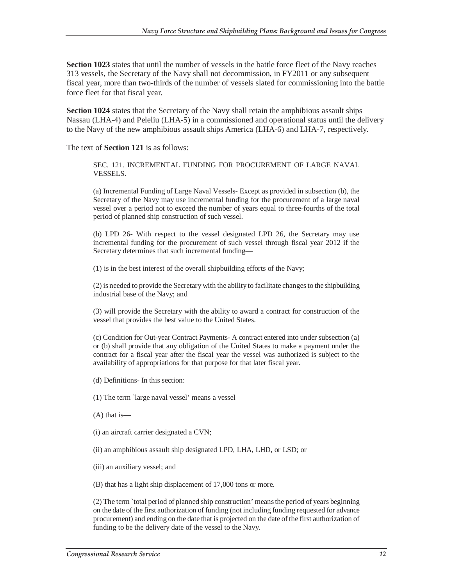**Section 1023** states that until the number of vessels in the battle force fleet of the Navy reaches 313 vessels, the Secretary of the Navy shall not decommission, in FY2011 or any subsequent fiscal year, more than two-thirds of the number of vessels slated for commissioning into the battle force fleet for that fiscal year.

**Section 1024** states that the Secretary of the Navy shall retain the amphibious assault ships Nassau (LHA-4) and Peleliu (LHA-5) in a commissioned and operational status until the delivery to the Navy of the new amphibious assault ships America (LHA-6) and LHA-7, respectively.

The text of **Section 121** is as follows:

SEC. 121. INCREMENTAL FUNDING FOR PROCUREMENT OF LARGE NAVAL VESSELS.

(a) Incremental Funding of Large Naval Vessels- Except as provided in subsection (b), the Secretary of the Navy may use incremental funding for the procurement of a large naval vessel over a period not to exceed the number of years equal to three-fourths of the total period of planned ship construction of such vessel.

(b) LPD 26- With respect to the vessel designated LPD 26, the Secretary may use incremental funding for the procurement of such vessel through fiscal year 2012 if the Secretary determines that such incremental funding—

(1) is in the best interest of the overall shipbuilding efforts of the Navy;

(2) is needed to provide the Secretary with the ability to facilitate changes to the shipbuilding industrial base of the Navy; and

(3) will provide the Secretary with the ability to award a contract for construction of the vessel that provides the best value to the United States.

(c) Condition for Out-year Contract Payments- A contract entered into under subsection (a) or (b) shall provide that any obligation of the United States to make a payment under the contract for a fiscal year after the fiscal year the vessel was authorized is subject to the availability of appropriations for that purpose for that later fiscal year.

(d) Definitions- In this section:

(1) The term `large naval vessel' means a vessel—

(A) that is—

(i) an aircraft carrier designated a CVN;

(ii) an amphibious assault ship designated LPD, LHA, LHD, or LSD; or

(iii) an auxiliary vessel; and

(B) that has a light ship displacement of 17,000 tons or more.

(2) The term `total period of planned ship construction' means the period of years beginning on the date of the first authorization of funding (not including funding requested for advance procurement) and ending on the date that is projected on the date of the first authorization of funding to be the delivery date of the vessel to the Navy.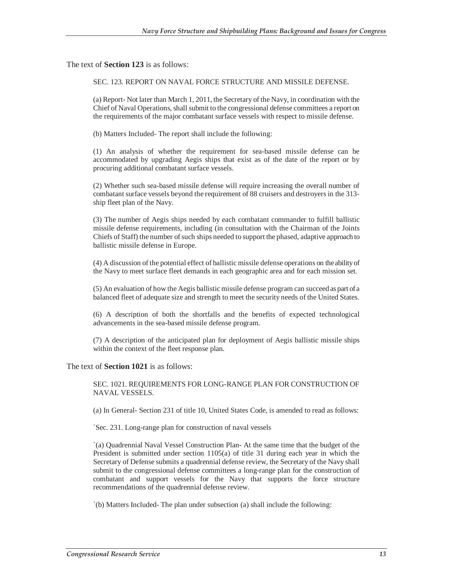The text of **Section 123** is as follows:

SEC. 123. REPORT ON NAVAL FORCE STRUCTURE AND MISSILE DEFENSE.

(a) Report- Not later than March 1, 2011, the Secretary of the Navy, in coordination with the Chief of Naval Operations, shall submit to the congressional defense committees a report on the requirements of the major combatant surface vessels with respect to missile defense.

(b) Matters Included- The report shall include the following:

(1) An analysis of whether the requirement for sea-based missile defense can be accommodated by upgrading Aegis ships that exist as of the date of the report or by procuring additional combatant surface vessels.

(2) Whether such sea-based missile defense will require increasing the overall number of combatant surface vessels beyond the requirement of 88 cruisers and destroyers in the 313 ship fleet plan of the Navy.

(3) The number of Aegis ships needed by each combatant commander to fulfill ballistic missile defense requirements, including (in consultation with the Chairman of the Joints Chiefs of Staff) the number of such ships needed to support the phased, adaptive approach to ballistic missile defense in Europe.

(4) A discussion of the potential effect of ballistic missile defense operations on the ability of the Navy to meet surface fleet demands in each geographic area and for each mission set.

(5) An evaluation of how the Aegis ballistic missile defense program can succeed as part of a balanced fleet of adequate size and strength to meet the security needs of the United States.

(6) A description of both the shortfalls and the benefits of expected technological advancements in the sea-based missile defense program.

(7) A description of the anticipated plan for deployment of Aegis ballistic missile ships within the context of the fleet response plan.

The text of **Section 1021** is as follows:

SEC. 1021. REQUIREMENTS FOR LONG-RANGE PLAN FOR CONSTRUCTION OF NAVAL VESSELS.

(a) In General- Section 231 of title 10, United States Code, is amended to read as follows:

`Sec. 231. Long-range plan for construction of naval vessels

`(a) Quadrennial Naval Vessel Construction Plan- At the same time that the budget of the President is submitted under section 1105(a) of title 31 during each year in which the Secretary of Defense submits a quadrennial defense review, the Secretary of the Navy shall submit to the congressional defense committees a long-range plan for the construction of combatant and support vessels for the Navy that supports the force structure recommendations of the quadrennial defense review.

`(b) Matters Included- The plan under subsection (a) shall include the following: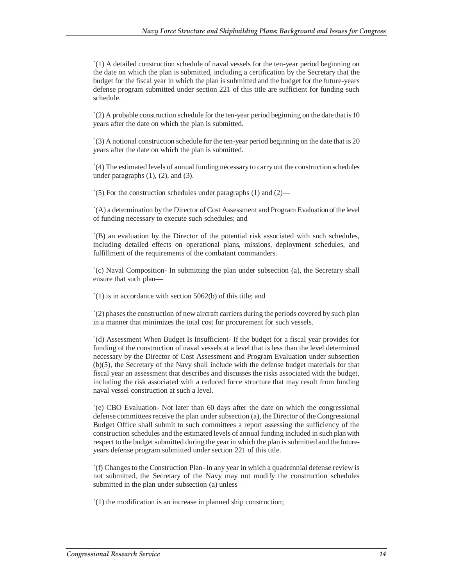`(1) A detailed construction schedule of naval vessels for the ten-year period beginning on the date on which the plan is submitted, including a certification by the Secretary that the budget for the fiscal year in which the plan is submitted and the budget for the future-years defense program submitted under section 221 of this title are sufficient for funding such schedule.

 $\zeta(2)$  A probable construction schedule for the ten-year period beginning on the date that is 10 years after the date on which the plan is submitted.

`(3) A notional construction schedule for the ten-year period beginning on the date that is 20 years after the date on which the plan is submitted.

`(4) The estimated levels of annual funding necessary to carry out the construction schedules under paragraphs  $(1)$ ,  $(2)$ , and  $(3)$ .

`(5) For the construction schedules under paragraphs (1) and (2)—

`(A) a determination by the Director of Cost Assessment and Program Evaluation of the level of funding necessary to execute such schedules; and

`(B) an evaluation by the Director of the potential risk associated with such schedules, including detailed effects on operational plans, missions, deployment schedules, and fulfillment of the requirements of the combatant commanders.

`(c) Naval Composition- In submitting the plan under subsection (a), the Secretary shall ensure that such plan—

`(1) is in accordance with section 5062(b) of this title; and

`(2) phases the construction of new aircraft carriers during the periods covered by such plan in a manner that minimizes the total cost for procurement for such vessels.

`(d) Assessment When Budget Is Insufficient- If the budget for a fiscal year provides for funding of the construction of naval vessels at a level that is less than the level determined necessary by the Director of Cost Assessment and Program Evaluation under subsection (b)(5), the Secretary of the Navy shall include with the defense budget materials for that fiscal year an assessment that describes and discusses the risks associated with the budget, including the risk associated with a reduced force structure that may result from funding naval vessel construction at such a level.

`(e) CBO Evaluation- Not later than 60 days after the date on which the congressional defense committees receive the plan under subsection (a), the Director of the Congressional Budget Office shall submit to such committees a report assessing the sufficiency of the construction schedules and the estimated levels of annual funding included in such plan with respect to the budget submitted during the year in which the plan is submitted and the futureyears defense program submitted under section 221 of this title.

`(f) Changes to the Construction Plan- In any year in which a quadrennial defense review is not submitted, the Secretary of the Navy may not modify the construction schedules submitted in the plan under subsection (a) unless—

`(1) the modification is an increase in planned ship construction;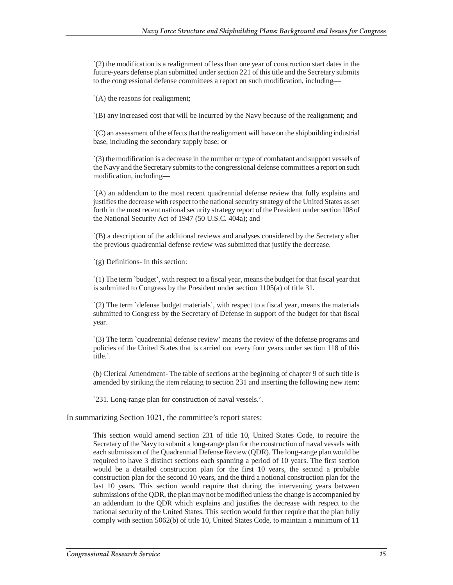`(2) the modification is a realignment of less than one year of construction start dates in the future-years defense plan submitted under section 221 of this title and the Secretary submits to the congressional defense committees a report on such modification, including—

`(A) the reasons for realignment;

`(B) any increased cost that will be incurred by the Navy because of the realignment; and

`(C) an assessment of the effects that the realignment will have on the shipbuilding industrial base, including the secondary supply base; or

`(3) the modification is a decrease in the number or type of combatant and support vessels of the Navy and the Secretary submits to the congressional defense committees a report on such modification, including—

`(A) an addendum to the most recent quadrennial defense review that fully explains and justifies the decrease with respect to the national security strategy of the United States as set forth in the most recent national security strategy report of the President under section 108 of the National Security Act of 1947 (50 U.S.C. 404a); and

`(B) a description of the additional reviews and analyses considered by the Secretary after the previous quadrennial defense review was submitted that justify the decrease.

`(g) Definitions- In this section:

`(1) The term `budget', with respect to a fiscal year, means the budget for that fiscal year that is submitted to Congress by the President under section 1105(a) of title 31.

`(2) The term `defense budget materials', with respect to a fiscal year, means the materials submitted to Congress by the Secretary of Defense in support of the budget for that fiscal year.

`(3) The term `quadrennial defense review' means the review of the defense programs and policies of the United States that is carried out every four years under section 118 of this title.'.

(b) Clerical Amendment- The table of sections at the beginning of chapter 9 of such title is amended by striking the item relating to section 231 and inserting the following new item:

`231. Long-range plan for construction of naval vessels.'.

In summarizing Section 1021, the committee's report states:

This section would amend section 231 of title 10, United States Code, to require the Secretary of the Navy to submit a long-range plan for the construction of naval vessels with each submission of the Quadrennial Defense Review (QDR). The long-range plan would be required to have 3 distinct sections each spanning a period of 10 years. The first section would be a detailed construction plan for the first 10 years, the second a probable construction plan for the second 10 years, and the third a notional construction plan for the last 10 years. This section would require that during the intervening years between submissions of the QDR, the plan may not be modified unless the change is accompanied by an addendum to the QDR which explains and justifies the decrease with respect to the national security of the United States. This section would further require that the plan fully comply with section 5062(b) of title 10, United States Code, to maintain a minimum of 11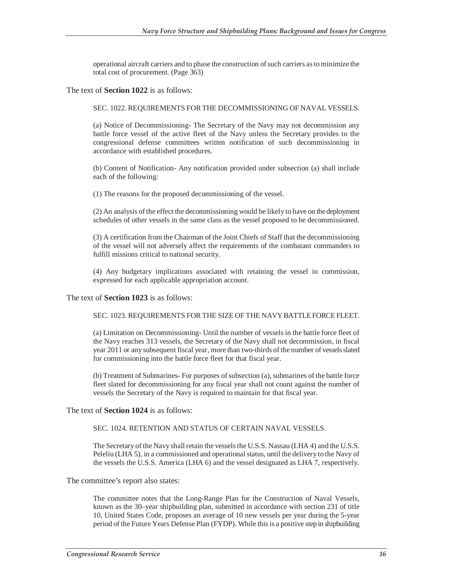operational aircraft carriers and to phase the construction of such carriers as to minimize the total cost of procurement. (Page 363)

The text of **Section 1022** is as follows:

SEC. 1022. REQUIREMENTS FOR THE DECOMMISSIONING OF NAVAL VESSELS.

(a) Notice of Decommissioning- The Secretary of the Navy may not decommission any battle force vessel of the active fleet of the Navy unless the Secretary provides to the congressional defense committees written notification of such decommissioning in accordance with established procedures.

(b) Content of Notification- Any notification provided under subsection (a) shall include each of the following:

(1) The reasons for the proposed decommissioning of the vessel.

(2) An analysis of the effect the decommissioning would be likely to have on the deployment schedules of other vessels in the same class as the vessel proposed to be decommissioned.

(3) A certification from the Chairman of the Joint Chiefs of Staff that the decommissioning of the vessel will not adversely affect the requirements of the combatant commanders to fulfill missions critical to national security.

(4) Any budgetary implications associated with retaining the vessel in commission, expressed for each applicable appropriation account.

The text of **Section 1023** is as follows:

SEC. 1023. REQUIREMENTS FOR THE SIZE OF THE NAVY BATTLE FORCE FLEET.

(a) Limitation on Decommissioning- Until the number of vessels in the battle force fleet of the Navy reaches 313 vessels, the Secretary of the Navy shall not decommission, in fiscal year 2011 or any subsequent fiscal year, more than two-thirds of the number of vessels slated for commissioning into the battle force fleet for that fiscal year.

(b) Treatment of Submarines- For purposes of subsection (a), submarines of the battle force fleet slated for decommissioning for any fiscal year shall not count against the number of vessels the Secretary of the Navy is required to maintain for that fiscal year.

The text of **Section 1024** is as follows:

SEC. 1024. RETENTION AND STATUS OF CERTAIN NAVAL VESSELS.

The Secretary of the Navy shall retain the vessels the U.S.S. Nassau (LHA 4) and the U.S.S. Peleliu (LHA 5), in a commissioned and operational status, until the delivery to the Navy of the vessels the U.S.S. America (LHA 6) and the vessel designated as LHA 7, respectively.

The committee's report also states:

The committee notes that the Long-Range Plan for the Construction of Naval Vessels, known as the 30–year shipbuilding plan, submitted in accordance with section 231 of title 10, United States Code, proposes an average of 10 new vessels per year during the 5-year period of the Future Years Defense Plan (FYDP). While this is a positive step in shipbuilding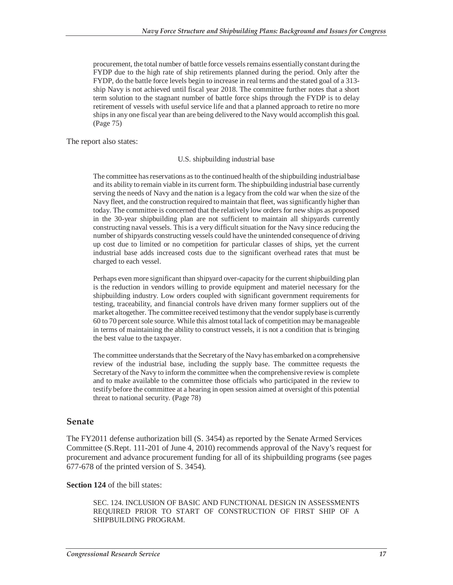procurement, the total number of battle force vessels remains essentially constant during the FYDP due to the high rate of ship retirements planned during the period. Only after the FYDP, do the battle force levels begin to increase in real terms and the stated goal of a 313 ship Navy is not achieved until fiscal year 2018. The committee further notes that a short term solution to the stagnant number of battle force ships through the FYDP is to delay retirement of vessels with useful service life and that a planned approach to retire no more ships in any one fiscal year than are being delivered to the Navy would accomplish this goal. (Page 75)

The report also states:

#### U.S. shipbuilding industrial base

The committee has reservations as to the continued health of the shipbuilding industrial base and its ability to remain viable in its current form. The shipbuilding industrial base currently serving the needs of Navy and the nation is a legacy from the cold war when the size of the Navy fleet, and the construction required to maintain that fleet, was significantly higher than today. The committee is concerned that the relatively low orders for new ships as proposed in the 30-year shipbuilding plan are not sufficient to maintain all shipyards currently constructing naval vessels. This is a very difficult situation for the Navy since reducing the number of shipyards constructing vessels could have the unintended consequence of driving up cost due to limited or no competition for particular classes of ships, yet the current industrial base adds increased costs due to the significant overhead rates that must be charged to each vessel.

Perhaps even more significant than shipyard over-capacity for the current shipbuilding plan is the reduction in vendors willing to provide equipment and materiel necessary for the shipbuilding industry. Low orders coupled with significant government requirements for testing, traceability, and financial controls have driven many former suppliers out of the market altogether. The committee received testimony that the vendor supply base is currently 60 to 70 percent sole source. While this almost total lack of competition may be manageable in terms of maintaining the ability to construct vessels, it is not a condition that is bringing the best value to the taxpayer.

The committee understands that the Secretary of the Navy has embarked on a comprehensive review of the industrial base, including the supply base. The committee requests the Secretary of the Navy to inform the committee when the comprehensive review is complete and to make available to the committee those officials who participated in the review to testify before the committee at a hearing in open session aimed at oversight of this potential threat to national security. (Page 78)

#### **Senate**

The FY2011 defense authorization bill (S. 3454) as reported by the Senate Armed Services Committee (S.Rept. 111-201 of June 4, 2010) recommends approval of the Navy's request for procurement and advance procurement funding for all of its shipbuilding programs (see pages 677-678 of the printed version of S. 3454).

#### **Section 124** of the bill states:

SEC. 124. INCLUSION OF BASIC AND FUNCTIONAL DESIGN IN ASSESSMENTS REQUIRED PRIOR TO START OF CONSTRUCTION OF FIRST SHIP OF A SHIPBUILDING PROGRAM.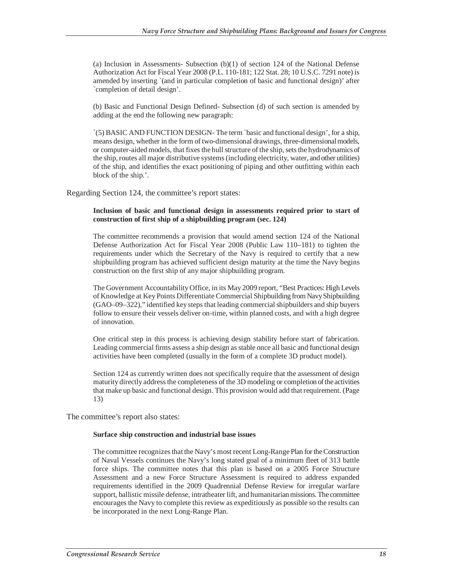(a) Inclusion in Assessments- Subsection  $(b)(1)$  of section 124 of the National Defense Authorization Act for Fiscal Year 2008 (P.L. 110-181; 122 Stat. 28; 10 U.S.C. 7291 note) is amended by inserting `(and in particular completion of basic and functional design)' after `completion of detail design'.

(b) Basic and Functional Design Defined- Subsection (d) of such section is amended by adding at the end the following new paragraph:

`(5) BASIC AND FUNCTION DESIGN- The term `basic and functional design', for a ship, means design, whether in the form of two-dimensional drawings, three-dimensional models, or computer-aided models, that fixes the hull structure of the ship, sets the hydrodynamics of the ship, routes all major distributive systems (including electricity, water, and other utilities) of the ship, and identifies the exact positioning of piping and other outfitting within each block of the ship.'.

Regarding Section 124, the committee's report states:

#### **Inclusion of basic and functional design in assessments required prior to start of construction of first ship of a shipbuilding program (sec. 124)**

The committee recommends a provision that would amend section 124 of the National Defense Authorization Act for Fiscal Year 2008 (Public Law 110–181) to tighten the requirements under which the Secretary of the Navy is required to certify that a new shipbuilding program has achieved sufficient design maturity at the time the Navy begins construction on the first ship of any major shipbuilding program.

The Government Accountability Office, in its May 2009 report, "Best Practices: High Levels of Knowledge at Key Points Differentiate Commercial Shipbuilding from Navy Shipbuilding (GAO–09–322)," identified key steps that leading commercial shipbuilders and ship buyers follow to ensure their vessels deliver on-time, within planned costs, and with a high degree of innovation.

One critical step in this process is achieving design stability before start of fabrication. Leading commercial firms assess a ship design as stable once all basic and functional design activities have been completed (usually in the form of a complete 3D product model).

Section 124 as currently written does not specifically require that the assessment of design maturity directly address the completeness of the 3D modeling or completion of the activities that make up basic and functional design. This provision would add that requirement. (Page 13)

The committee's report also states:

#### **Surface ship construction and industrial base issues**

The committee recognizes that the Navy's most recent Long-Range Plan for the Construction of Naval Vessels continues the Navy's long stated goal of a minimum fleet of 313 battle force ships. The committee notes that this plan is based on a 2005 Force Structure Assessment and a new Force Structure Assessment is required to address expanded requirements identified in the 2009 Quadrennial Defense Review for irregular warfare support, ballistic missile defense, intratheater lift, and humanitarian missions. The committee encourages the Navy to complete this review as expeditiously as possible so the results can be incorporated in the next Long-Range Plan.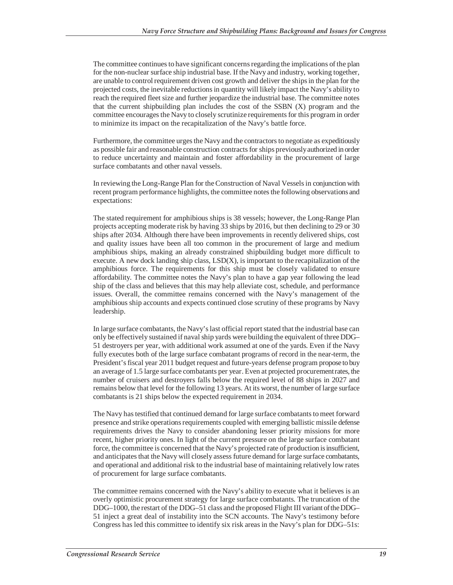The committee continues to have significant concerns regarding the implications of the plan for the non-nuclear surface ship industrial base. If the Navy and industry, working together, are unable to control requirement driven cost growth and deliver the ships in the plan for the projected costs, the inevitable reductions in quantity will likely impact the Navy's ability to reach the required fleet size and further jeopardize the industrial base. The committee notes that the current shipbuilding plan includes the cost of the SSBN (X) program and the committee encourages the Navy to closely scrutinize requirements for this program in order to minimize its impact on the recapitalization of the Navy's battle force.

Furthermore, the committee urges the Navy and the contractors to negotiate as expeditiously as possible fair and reasonable construction contracts for ships previously authorized in order to reduce uncertainty and maintain and foster affordability in the procurement of large surface combatants and other naval vessels.

In reviewing the Long-Range Plan for the Construction of Naval Vessels in conjunction with recent program performance highlights, the committee notes the following observations and expectations:

The stated requirement for amphibious ships is 38 vessels; however, the Long-Range Plan projects accepting moderate risk by having 33 ships by 2016, but then declining to 29 or 30 ships after 2034. Although there have been improvements in recently delivered ships, cost and quality issues have been all too common in the procurement of large and medium amphibious ships, making an already constrained shipbuilding budget more difficult to execute. A new dock landing ship class, LSD(X), is important to the recapitalization of the amphibious force. The requirements for this ship must be closely validated to ensure affordability. The committee notes the Navy's plan to have a gap year following the lead ship of the class and believes that this may help alleviate cost, schedule, and performance issues. Overall, the committee remains concerned with the Navy's management of the amphibious ship accounts and expects continued close scrutiny of these programs by Navy leadership.

In large surface combatants, the Navy's last official report stated that the industrial base can only be effectively sustained if naval ship yards were building the equivalent of three DDG– 51 destroyers per year, with additional work assumed at one of the yards. Even if the Navy fully executes both of the large surface combatant programs of record in the near-term, the President's fiscal year 2011 budget request and future-years defense program propose to buy an average of 1.5 large surface combatants per year. Even at projected procurement rates, the number of cruisers and destroyers falls below the required level of 88 ships in 2027 and remains below that level for the following 13 years. At its worst, the number of large surface combatants is 21 ships below the expected requirement in 2034.

The Navy has testified that continued demand for large surface combatants to meet forward presence and strike operations requirements coupled with emerging ballistic missile defense requirements drives the Navy to consider abandoning lesser priority missions for more recent, higher priority ones. In light of the current pressure on the large surface combatant force, the committee is concerned that the Navy's projected rate of production is insufficient, and anticipates that the Navy will closely assess future demand for large surface combatants, and operational and additional risk to the industrial base of maintaining relatively low rates of procurement for large surface combatants.

The committee remains concerned with the Navy's ability to execute what it believes is an overly optimistic procurement strategy for large surface combatants. The truncation of the DDG–1000, the restart of the DDG–51 class and the proposed Flight III variant of the DDG– 51 inject a great deal of instability into the SCN accounts. The Navy's testimony before Congress has led this committee to identify six risk areas in the Navy's plan for DDG–51s: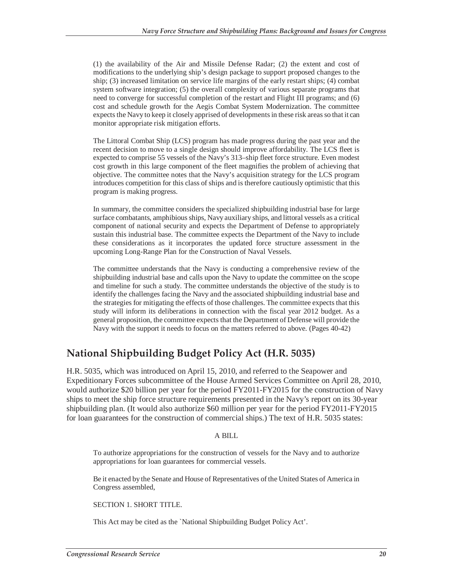(1) the availability of the Air and Missile Defense Radar; (2) the extent and cost of modifications to the underlying ship's design package to support proposed changes to the ship; (3) increased limitation on service life margins of the early restart ships; (4) combat system software integration; (5) the overall complexity of various separate programs that need to converge for successful completion of the restart and Flight III programs; and (6) cost and schedule growth for the Aegis Combat System Modernization. The committee expects the Navy to keep it closely apprised of developments in these risk areas so that it can monitor appropriate risk mitigation efforts.

The Littoral Combat Ship (LCS) program has made progress during the past year and the recent decision to move to a single design should improve affordability. The LCS fleet is expected to comprise 55 vessels of the Navy's 313–ship fleet force structure. Even modest cost growth in this large component of the fleet magnifies the problem of achieving that objective. The committee notes that the Navy's acquisition strategy for the LCS program introduces competition for this class of ships and is therefore cautiously optimistic that this program is making progress.

In summary, the committee considers the specialized shipbuilding industrial base for large surface combatants, amphibious ships, Navy auxiliary ships, and littoral vessels as a critical component of national security and expects the Department of Defense to appropriately sustain this industrial base. The committee expects the Department of the Navy to include these considerations as it incorporates the updated force structure assessment in the upcoming Long-Range Plan for the Construction of Naval Vessels.

The committee understands that the Navy is conducting a comprehensive review of the shipbuilding industrial base and calls upon the Navy to update the committee on the scope and timeline for such a study. The committee understands the objective of the study is to identify the challenges facing the Navy and the associated shipbuilding industrial base and the strategies for mitigating the effects of those challenges. The committee expects that this study will inform its deliberations in connection with the fiscal year 2012 budget. As a general proposition, the committee expects that the Department of Defense will provide the Navy with the support it needs to focus on the matters referred to above. (Pages 40-42)

### **National Shipbuilding Budget Policy Act (H.R. 5035)**

H.R. 5035, which was introduced on April 15, 2010, and referred to the Seapower and Expeditionary Forces subcommittee of the House Armed Services Committee on April 28, 2010, would authorize \$20 billion per year for the period FY2011-FY2015 for the construction of Navy ships to meet the ship force structure requirements presented in the Navy's report on its 30-year shipbuilding plan. (It would also authorize \$60 million per year for the period FY2011-FY2015 for loan guarantees for the construction of commercial ships.) The text of H.R. 5035 states:

#### A BILL

To authorize appropriations for the construction of vessels for the Navy and to authorize appropriations for loan guarantees for commercial vessels.

Be it enacted by the Senate and House of Representatives of the United States of America in Congress assembled,

SECTION 1. SHORT TITLE.

This Act may be cited as the `National Shipbuilding Budget Policy Act'.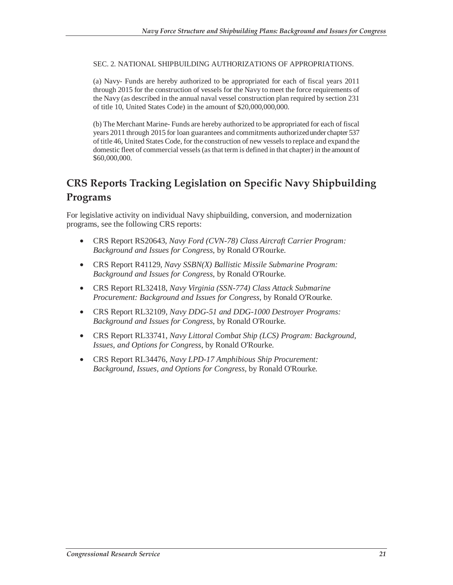SEC. 2. NATIONAL SHIPBUILDING AUTHORIZATIONS OF APPROPRIATIONS.

(a) Navy- Funds are hereby authorized to be appropriated for each of fiscal years 2011 through 2015 for the construction of vessels for the Navy to meet the force requirements of the Navy (as described in the annual naval vessel construction plan required by section 231 of title 10, United States Code) in the amount of \$20,000,000,000.

(b) The Merchant Marine- Funds are hereby authorized to be appropriated for each of fiscal years 2011 through 2015 for loan guarantees and commitments authorized under chapter 537 of title 46, United States Code, for the construction of new vessels to replace and expand the domestic fleet of commercial vessels (as that term is defined in that chapter) in the amount of \$60,000,000.

## **CRS Reports Tracking Legislation on Specific Navy Shipbuilding Programs**

For legislative activity on individual Navy shipbuilding, conversion, and modernization programs, see the following CRS reports:

- CRS Report RS20643, *Navy Ford (CVN-78) Class Aircraft Carrier Program: Background and Issues for Congress*, by Ronald O'Rourke.
- CRS Report R41129, *Navy SSBN(X) Ballistic Missile Submarine Program: Background and Issues for Congress*, by Ronald O'Rourke.
- CRS Report RL32418, *Navy Virginia (SSN-774) Class Attack Submarine Procurement: Background and Issues for Congress*, by Ronald O'Rourke.
- CRS Report RL32109, *Navy DDG-51 and DDG-1000 Destroyer Programs: Background and Issues for Congress*, by Ronald O'Rourke.
- CRS Report RL33741, *Navy Littoral Combat Ship (LCS) Program: Background, Issues, and Options for Congress*, by Ronald O'Rourke.
- CRS Report RL34476, *Navy LPD-17 Amphibious Ship Procurement: Background, Issues, and Options for Congress*, by Ronald O'Rourke.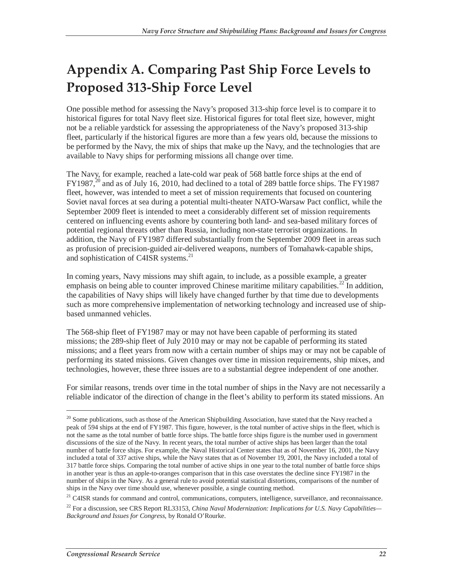# **Appendix A. Comparing Past Ship Force Levels to Proposed 313-Ship Force Level**

One possible method for assessing the Navy's proposed 313-ship force level is to compare it to historical figures for total Navy fleet size. Historical figures for total fleet size, however, might not be a reliable yardstick for assessing the appropriateness of the Navy's proposed 313-ship fleet, particularly if the historical figures are more than a few years old, because the missions to be performed by the Navy, the mix of ships that make up the Navy, and the technologies that are available to Navy ships for performing missions all change over time.

The Navy, for example, reached a late-cold war peak of 568 battle force ships at the end of  $FY1987$ <sup>20</sup> and as of July 16, 2010, had declined to a total of 289 battle force ships. The FY1987 fleet, however, was intended to meet a set of mission requirements that focused on countering Soviet naval forces at sea during a potential multi-theater NATO-Warsaw Pact conflict, while the September 2009 fleet is intended to meet a considerably different set of mission requirements centered on influencing events ashore by countering both land- and sea-based military forces of potential regional threats other than Russia, including non-state terrorist organizations. In addition, the Navy of FY1987 differed substantially from the September 2009 fleet in areas such as profusion of precision-guided air-delivered weapons, numbers of Tomahawk-capable ships, and sophistication of C4ISR systems.<sup>21</sup>

In coming years, Navy missions may shift again, to include, as a possible example, a greater emphasis on being able to counter improved Chinese maritime military capabilities.<sup>22</sup> In addition, the capabilities of Navy ships will likely have changed further by that time due to developments such as more comprehensive implementation of networking technology and increased use of shipbased unmanned vehicles.

The 568-ship fleet of FY1987 may or may not have been capable of performing its stated missions; the 289-ship fleet of July 2010 may or may not be capable of performing its stated missions; and a fleet years from now with a certain number of ships may or may not be capable of performing its stated missions. Given changes over time in mission requirements, ship mixes, and technologies, however, these three issues are to a substantial degree independent of one another.

For similar reasons, trends over time in the total number of ships in the Navy are not necessarily a reliable indicator of the direction of change in the fleet's ability to perform its stated missions. An

<sup>21</sup> C4ISR stands for command and control, communications, computers, intelligence, surveillance, and reconnaissance.

 $20$  Some publications, such as those of the American Shipbuilding Association, have stated that the Navy reached a peak of 594 ships at the end of FY1987. This figure, however, is the total number of active ships in the fleet, which is not the same as the total number of battle force ships. The battle force ships figure is the number used in government discussions of the size of the Navy. In recent years, the total number of active ships has been larger than the total number of battle force ships. For example, the Naval Historical Center states that as of November 16, 2001, the Navy included a total of 337 active ships, while the Navy states that as of November 19, 2001, the Navy included a total of 317 battle force ships. Comparing the total number of active ships in one year to the total number of battle force ships in another year is thus an apple-to-oranges comparison that in this case overstates the decline since FY1987 in the number of ships in the Navy. As a general rule to avoid potential statistical distortions, comparisons of the number of ships in the Navy over time should use, whenever possible, a single counting method.

<sup>&</sup>lt;sup>22</sup> For a discussion, see CRS Report RL33153, *China Naval Modernization: Implications for U.S. Navy Capabilities*— *Background and Issues for Congress*, by Ronald O'Rourke.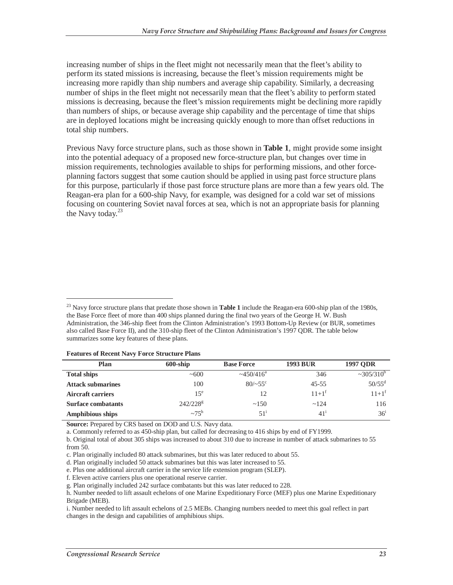increasing number of ships in the fleet might not necessarily mean that the fleet's ability to perform its stated missions is increasing, because the fleet's mission requirements might be increasing more rapidly than ship numbers and average ship capability. Similarly, a decreasing number of ships in the fleet might not necessarily mean that the fleet's ability to perform stated missions is decreasing, because the fleet's mission requirements might be declining more rapidly than numbers of ships, or because average ship capability and the percentage of time that ships are in deployed locations might be increasing quickly enough to more than offset reductions in total ship numbers.

Previous Navy force structure plans, such as those shown in **Table 1**, might provide some insight into the potential adequacy of a proposed new force-structure plan, but changes over time in mission requirements, technologies available to ships for performing missions, and other forceplanning factors suggest that some caution should be applied in using past force structure plans for this purpose, particularly if those past force structure plans are more than a few years old. The Reagan-era plan for a 600-ship Navy, for example, was designed for a cold war set of missions focusing on countering Soviet naval forces at sea, which is not an appropriate basis for planning the Navy today. $23$ 

<sup>&</sup>lt;sup>23</sup> Navy force structure plans that predate those shown in **Table 1** include the Reagan-era 600-ship plan of the 1980s, the Base Force fleet of more than 400 ships planned during the final two years of the George H. W. Bush Administration, the 346-ship fleet from the Clinton Administration's 1993 Bottom-Up Review (or BUR, sometimes also called Base Force II), and the 310-ship fleet of the Clinton Administration's 1997 QDR. The table below summarizes some key features of these plans.

| <b>Features of Recent Navy Force Structure Plans</b> |  |  |  |
|------------------------------------------------------|--|--|--|
|------------------------------------------------------|--|--|--|

-

| Plan                      | $600$ -ship     | <b>Base Force</b>   | <b>1993 BUR</b> | <b>1997 ODR</b>       |
|---------------------------|-----------------|---------------------|-----------------|-----------------------|
| <b>Total ships</b>        | ~100            | $\approx 450/416^a$ | 346             | $\approx 305/310^{6}$ |
| <b>Attack submarines</b>  | 100             | $80/~55$ °          | $45 - 55$       | $50/55^{\rm d}$       |
| <b>Aircraft carriers</b>  | 15 <sup>e</sup> | 12                  | $11+1^f$        | $11+1^f$              |
| <b>Surface combatants</b> | $242/228^g$     | ~150                | ~124            | 116                   |
| <b>Amphibious ships</b>   | $\sim 75^h$     | 51 <sup>1</sup>     | 41 <sup>1</sup> | 36 <sup>i</sup>       |

**Source:** Prepared by CRS based on DOD and U.S. Navy data.

a. Commonly referred to as 450-ship plan, but called for decreasing to 416 ships by end of FY1999.

b. Original total of about 305 ships was increased to about 310 due to increase in number of attack submarines to 55 from 50.

c. Plan originally included 80 attack submarines, but this was later reduced to about 55.

d. Plan originally included 50 attack submarines but this was later increased to 55.

e. Plus one additional aircraft carrier in the service life extension program (SLEP).

f. Eleven active carriers plus one operational reserve carrier.

g. Plan originally included 242 surface combatants but this was later reduced to 228.

h. Number needed to lift assault echelons of one Marine Expeditionary Force (MEF) plus one Marine Expeditionary Brigade (MEB).

i. Number needed to lift assault echelons of 2.5 MEBs. Changing numbers needed to meet this goal reflect in part changes in the design and capabilities of amphibious ships.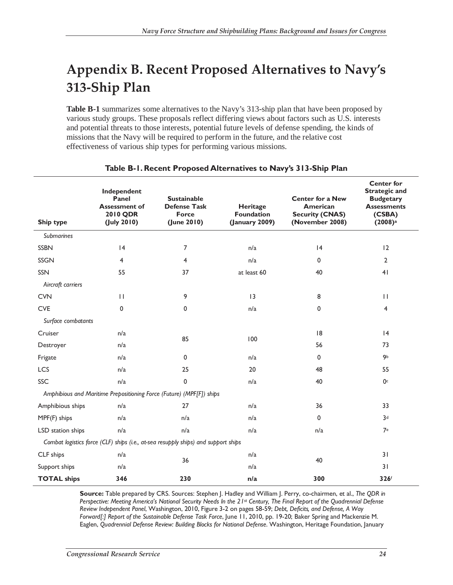# **Appendix B. Recent Proposed Alternatives to Navy's 313-Ship Plan**

**Table B-1** summarizes some alternatives to the Navy's 313-ship plan that have been proposed by various study groups. These proposals reflect differing views about factors such as U.S. interests and potential threats to those interests, potential future levels of defense spending, the kinds of missions that the Navy will be required to perform in the future, and the relative cost effectiveness of various ship types for performing various missions.

| Ship type          | Independent<br>Panel<br><b>Assessment of</b><br>2010 QDR<br>(July 2010) | <b>Sustainable</b><br><b>Defense Task</b><br><b>Force</b><br>(June 2010)           | Heritage<br><b>Foundation</b><br>(January 2009) | <b>Center for a New</b><br>American<br><b>Security (CNAS)</b><br>(November 2008) | <b>Center for</b><br><b>Strategic and</b><br><b>Budgetary</b><br><b>Assessments</b><br>(CSBA)<br>(2008) <sup>a</sup> |
|--------------------|-------------------------------------------------------------------------|------------------------------------------------------------------------------------|-------------------------------------------------|----------------------------------------------------------------------------------|----------------------------------------------------------------------------------------------------------------------|
| <b>Submarines</b>  |                                                                         |                                                                                    |                                                 |                                                                                  |                                                                                                                      |
| <b>SSBN</b>        | 4                                                                       | 7                                                                                  | n/a                                             | 4                                                                                | 12                                                                                                                   |
| <b>SSGN</b>        | 4                                                                       | $\overline{4}$                                                                     | n/a                                             | 0                                                                                | $\overline{2}$                                                                                                       |
| <b>SSN</b>         | 55                                                                      | 37                                                                                 | at least 60                                     | 40                                                                               | 4 <sub>1</sub>                                                                                                       |
| Aircraft carriers  |                                                                         |                                                                                    |                                                 |                                                                                  |                                                                                                                      |
| <b>CVN</b>         | $\mathbf{H}$                                                            | 9                                                                                  | $\overline{13}$                                 | 8                                                                                | $\mathbf{H}$                                                                                                         |
| <b>CVE</b>         | 0                                                                       | 0                                                                                  | n/a                                             | 0                                                                                | 4                                                                                                                    |
| Surface combatants |                                                                         |                                                                                    |                                                 |                                                                                  |                                                                                                                      |
| Cruiser            | n/a                                                                     | 85                                                                                 | 100                                             | 18                                                                               | 4                                                                                                                    |
| Destroyer          | n/a                                                                     |                                                                                    |                                                 | 56                                                                               | 73                                                                                                                   |
| Frigate            | n/a                                                                     | 0                                                                                  | n/a                                             | 0                                                                                | 9b                                                                                                                   |
| LCS                | n/a                                                                     | 25                                                                                 | 20                                              | 48                                                                               | 55                                                                                                                   |
| SSC                | n/a                                                                     | 0                                                                                  | n/a                                             | 40                                                                               | 0 <sup>c</sup>                                                                                                       |
|                    |                                                                         | Amphibious and Maritime Prepositioning Force (Future) (MPF[F]) ships               |                                                 |                                                                                  |                                                                                                                      |
| Amphibious ships   | n/a                                                                     | 27                                                                                 | n/a                                             | 36                                                                               | 33                                                                                                                   |
| MPF(F) ships       | n/a                                                                     | n/a                                                                                | n/a                                             | 0                                                                                | 3 <sub>d</sub>                                                                                                       |
| LSD station ships  | n/a                                                                     | n/a                                                                                | n/a                                             | n/a                                                                              | 7e                                                                                                                   |
|                    |                                                                         | Combat logistics force (CLF) ships (i.e., at-sea resupply ships) and support ships |                                                 |                                                                                  |                                                                                                                      |
| CLF ships          | n/a                                                                     |                                                                                    | n/a                                             | 40                                                                               | 31                                                                                                                   |
| Support ships      | n/a                                                                     | 36                                                                                 | n/a                                             |                                                                                  | 31                                                                                                                   |
| <b>TOTAL ships</b> | 346                                                                     | 230                                                                                | n/a                                             | 300                                                                              | 326f                                                                                                                 |

#### **Table B-1. Recent Proposed Alternatives to Navy's 313-Ship Plan**

**Source:** Table prepared by CRS. Sources: Stephen J. Hadley and William J. Perry, co-chairmen, et al., *The QDR in Perspective: Meeting America's National Security Needs In the 21st Century, The Final Report of the Quadrennial Defense Review Independent Panel*, Washington, 2010, Figure 3-2 on pages 58-59; *Debt, Deficits, and Defense, A Way Forward[:] Report of the Sustainable Defense Task Force*, June 11, 2010, pp. 19-20; Baker Spring and Mackenzie M. Eaglen, *Quadrennial Defense Review: Building Blocks for National Defense*. Washington, Heritage Foundation, January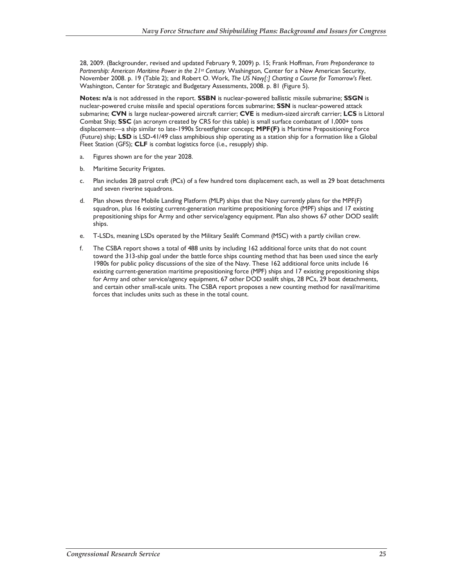28, 2009. (Backgrounder, revised and updated February 9, 2009) p. 15; Frank Hoffman, *From Preponderance to*  Partnership: American Maritime Power in the 21st Century. Washington, Center for a New American Security, November 2008. p. 19 (Table 2); and Robert O. Work, *The US Navy[:] Charting a Course for Tomorrow's Fleet*. Washington, Center for Strategic and Budgetary Assessments, 2008. p. 81 (Figure 5).

**Notes: n/a** is not addressed in the report. **SSBN** is nuclear-powered ballistic missile submarine; **SSGN** is nuclear-powered cruise missile and special operations forces submarine; **SSN** is nuclear-powered attack submarine; **CVN** is large nuclear-powered aircraft carrier; **CVE** is medium-sized aircraft carrier; **LCS** is Littoral Combat Ship; **SSC** (an acronym created by CRS for this table) is small surface combatant of 1,000+ tons displacement—a ship similar to late-1990s Streetfighter concept; **MPF(F)** is Maritime Prepositioning Force (Future) ship; **LSD** is LSD-41/49 class amphibious ship operating as a station ship for a formation like a Global Fleet Station (GFS); **CLF** is combat logistics force (i.e., resupply) ship.

- a. Figures shown are for the year 2028.
- b. Maritime Security Frigates.
- c. Plan includes 28 patrol craft (PCs) of a few hundred tons displacement each, as well as 29 boat detachments and seven riverine squadrons.
- d. Plan shows three Mobile Landing Platform (MLP) ships that the Navy currently plans for the MPF(F) squadron, plus 16 existing current-generation maritime prepositioning force (MPF) ships and 17 existing prepositioning ships for Army and other service/agency equipment. Plan also shows 67 other DOD sealift ships.
- e. T-LSDs, meaning LSDs operated by the Military Sealift Command (MSC) with a partly civilian crew.
- f. The CSBA report shows a total of 488 units by including 162 additional force units that do not count toward the 313-ship goal under the battle force ships counting method that has been used since the early 1980s for public policy discussions of the size of the Navy. These 162 additional force units include 16 existing current-generation maritime prepositioning force (MPF) ships and 17 existing prepositioning ships for Army and other service/agency equipment, 67 other DOD sealift ships, 28 PCs, 29 boat detachments, and certain other small-scale units. The CSBA report proposes a new counting method for naval/maritime forces that includes units such as these in the total count.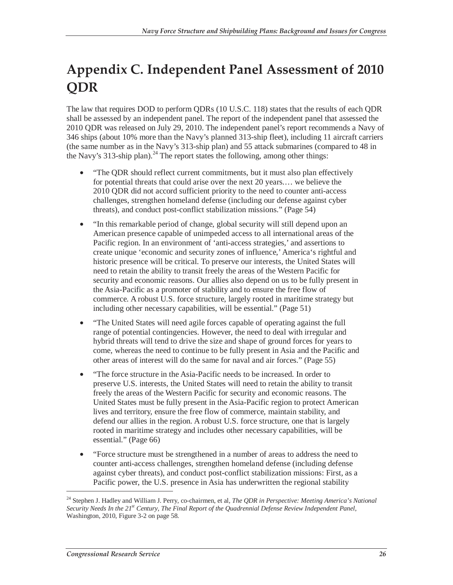# **Appendix C. Independent Panel Assessment of 2010 QDR**

The law that requires DOD to perform QDRs (10 U.S.C. 118) states that the results of each QDR shall be assessed by an independent panel. The report of the independent panel that assessed the 2010 QDR was released on July 29, 2010. The independent panel's report recommends a Navy of 346 ships (about 10% more than the Navy's planned 313-ship fleet), including 11 aircraft carriers (the same number as in the Navy's 313-ship plan) and 55 attack submarines (compared to 48 in the Navy's 313-ship plan).<sup>24</sup> The report states the following, among other things:

- "The QDR should reflect current commitments, but it must also plan effectively for potential threats that could arise over the next 20 years.… we believe the 2010 QDR did not accord sufficient priority to the need to counter anti-access challenges, strengthen homeland defense (including our defense against cyber threats), and conduct post-conflict stabilization missions." (Page 54)
- "In this remarkable period of change, global security will still depend upon an American presence capable of unimpeded access to all international areas of the Pacific region. In an environment of 'anti-access strategies,' and assertions to create unique 'economic and security zones of influence,' America's rightful and historic presence will be critical. To preserve our interests, the United States will need to retain the ability to transit freely the areas of the Western Pacific for security and economic reasons. Our allies also depend on us to be fully present in the Asia-Pacific as a promoter of stability and to ensure the free flow of commerce. A robust U.S. force structure, largely rooted in maritime strategy but including other necessary capabilities, will be essential." (Page 51)
- "The United States will need agile forces capable of operating against the full range of potential contingencies. However, the need to deal with irregular and hybrid threats will tend to drive the size and shape of ground forces for years to come, whereas the need to continue to be fully present in Asia and the Pacific and other areas of interest will do the same for naval and air forces." (Page 55)
- "The force structure in the Asia-Pacific needs to be increased. In order to preserve U.S. interests, the United States will need to retain the ability to transit freely the areas of the Western Pacific for security and economic reasons. The United States must be fully present in the Asia-Pacific region to protect American lives and territory, ensure the free flow of commerce, maintain stability, and defend our allies in the region. A robust U.S. force structure, one that is largely rooted in maritime strategy and includes other necessary capabilities, will be essential." (Page 66)
- "Force structure must be strengthened in a number of areas to address the need to counter anti-access challenges, strengthen homeland defense (including defense against cyber threats), and conduct post-conflict stabilization missions: First, as a Pacific power, the U.S. presence in Asia has underwritten the regional stability

<sup>24</sup> Stephen J. Hadley and William J. Perry, co-chairmen, et al*, The QDR in Perspective: Meeting America's National*  Security Needs In the 21<sup>st</sup> Century, The Final Report of the Quadrennial Defense Review Independent Panel, Washington, 2010, Figure 3-2 on page 58.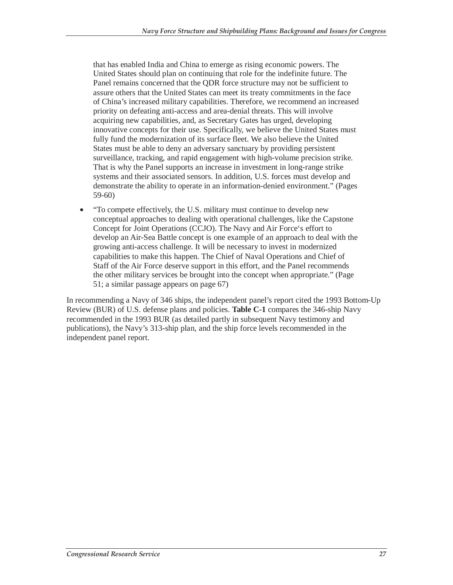that has enabled India and China to emerge as rising economic powers. The United States should plan on continuing that role for the indefinite future. The Panel remains concerned that the QDR force structure may not be sufficient to assure others that the United States can meet its treaty commitments in the face of China's increased military capabilities. Therefore, we recommend an increased priority on defeating anti-access and area-denial threats. This will involve acquiring new capabilities, and, as Secretary Gates has urged, developing innovative concepts for their use. Specifically, we believe the United States must fully fund the modernization of its surface fleet. We also believe the United States must be able to deny an adversary sanctuary by providing persistent surveillance, tracking, and rapid engagement with high-volume precision strike. That is why the Panel supports an increase in investment in long-range strike systems and their associated sensors. In addition, U.S. forces must develop and demonstrate the ability to operate in an information-denied environment." (Pages 59-60)

• "To compete effectively, the U.S. military must continue to develop new conceptual approaches to dealing with operational challenges, like the Capstone Concept for Joint Operations (CCJO). The Navy and Air Force's effort to develop an Air-Sea Battle concept is one example of an approach to deal with the growing anti-access challenge. It will be necessary to invest in modernized capabilities to make this happen. The Chief of Naval Operations and Chief of Staff of the Air Force deserve support in this effort, and the Panel recommends the other military services be brought into the concept when appropriate." (Page 51; a similar passage appears on page 67)

In recommending a Navy of 346 ships, the independent panel's report cited the 1993 Bottom-Up Review (BUR) of U.S. defense plans and policies. **Table C-1** compares the 346-ship Navy recommended in the 1993 BUR (as detailed partly in subsequent Navy testimony and publications), the Navy's 313-ship plan, and the ship force levels recommended in the independent panel report.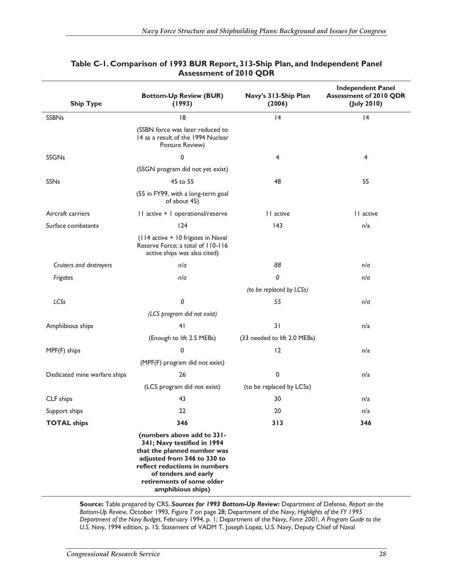| <b>Ship Type</b>             | <b>Bottom-Up Review (BUR)</b><br>(1993)                                                                                                                                                                                            | Navy's 313-Ship Plan<br>(2006) | <b>Independent Panel</b><br><b>Assessment of 2010 QDR</b><br>$($ July 2010 $)$ |
|------------------------------|------------------------------------------------------------------------------------------------------------------------------------------------------------------------------------------------------------------------------------|--------------------------------|--------------------------------------------------------------------------------|
| <b>SSBNs</b>                 | 8                                                                                                                                                                                                                                  | 4                              | 4                                                                              |
|                              | (SSBN force was later reduced to<br>14 as a result of the 1994 Nuclear<br>Posture Review)                                                                                                                                          |                                |                                                                                |
| <b>SSGNs</b>                 | 0                                                                                                                                                                                                                                  | 4                              | 4                                                                              |
|                              | (SSGN program did not yet exist)                                                                                                                                                                                                   |                                |                                                                                |
| <b>SSNs</b>                  | 45 to 55                                                                                                                                                                                                                           | 48                             | 55                                                                             |
|                              | (55 in FY99, with a long-term goal<br>of about 45)                                                                                                                                                                                 |                                |                                                                                |
| Aircraft carriers            | I I active + I operational/reserve                                                                                                                                                                                                 | II active                      | 11 active                                                                      |
| Surface combatants           | 124                                                                                                                                                                                                                                | 43                             | n/a                                                                            |
|                              | (114 active + 10 frigates in Naval<br>Reserve Force; a total of 110-116<br>active ships was also cited)                                                                                                                            |                                |                                                                                |
| Cruisers and destroyers      | n/a                                                                                                                                                                                                                                | 88                             | n/a                                                                            |
| Frigates                     | n/a                                                                                                                                                                                                                                | 0                              | n/a                                                                            |
|                              |                                                                                                                                                                                                                                    | (to be replaced by LCSs)       |                                                                                |
| LCSs                         | 0                                                                                                                                                                                                                                  | 55                             | n/a                                                                            |
|                              | (LCS program did not exist)                                                                                                                                                                                                        |                                |                                                                                |
| Amphibious ships             | 4 <sub>1</sub>                                                                                                                                                                                                                     | 31                             | n/a                                                                            |
|                              | (Enough to lift 2.5 MEBs)                                                                                                                                                                                                          | (33 needed to lift 2.0 MEBs)   |                                                                                |
| MPF(F) ships                 | 0                                                                                                                                                                                                                                  | 12                             | n/a                                                                            |
|                              | (MPF(F) program did not exist)                                                                                                                                                                                                     |                                |                                                                                |
| Dedicated mine warfare ships | 26                                                                                                                                                                                                                                 | 0                              | n/a                                                                            |
|                              | (LCS program did not exist)                                                                                                                                                                                                        | (to be replaced by LCSs)       |                                                                                |
| CLF ships                    | 43                                                                                                                                                                                                                                 | 30                             | n/a                                                                            |
| Support ships                | 22                                                                                                                                                                                                                                 | 20                             | n/a                                                                            |
| <b>TOTAL ships</b>           | 346                                                                                                                                                                                                                                | 313                            | 346                                                                            |
|                              | (numbers above add to 331-<br>341; Navy testified in 1994<br>that the planned number was<br>adjusted from 346 to 330 to<br>reflect reductions in numbers<br>of tenders and early<br>retirements of some older<br>amphibious ships) |                                |                                                                                |

#### **Table C-1. Comparison of 1993 BUR Report, 313-Ship Plan, and Independent Panel Assessment of 2010 QDR**

**Source:** Table prepared by CRS. *Sources for 1993 Bottom-Up Review:* Department of Defense, *Report on the Bottom-Up Review*, October 1993, Figure 7 on page 28; Department of the Navy, *Highlights of the FY 1995 Department of the Navy Budget*, February 1994, p. 1; Department of the Navy, *Force 2001, A Program Guide to the U.S. Navy*, 1994 edition, p. 15; Statement of VADM T. Joseph Lopez, U.S. Navy, Deputy Chief of Naval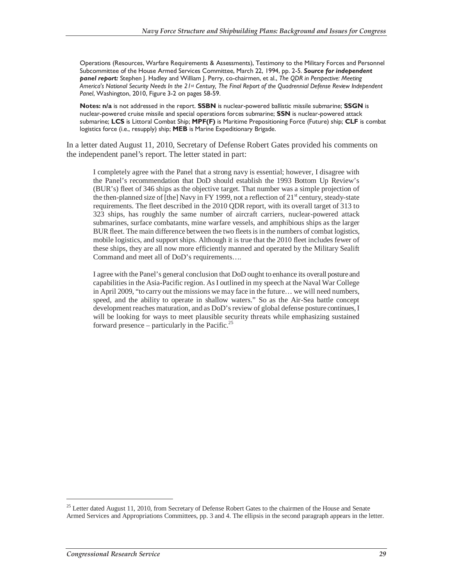Operations (Resources, Warfare Requirements & Assessments), Testimony to the Military Forces and Personnel Subcommittee of the House Armed Services Committee, March 22, 1994, pp. 2-5. *Source for independent panel report:* Stephen J. Hadley and William J. Perry, co-chairmen, et al., *The QDR in Perspective: Meeting America's National Security Needs In the 21st Century, The Final Report of the Quadrennial Defense Review Independent Panel*, Washington, 2010, Figure 3-2 on pages 58-59.

**Notes: n/a** is not addressed in the report. **SSBN** is nuclear-powered ballistic missile submarine; **SSGN** is nuclear-powered cruise missile and special operations forces submarine; **SSN** is nuclear-powered attack submarine; **LCS** is Littoral Combat Ship; **MPF(F)** is Maritime Prepositioning Force (Future) ship; **CLF** is combat logistics force (i.e., resupply) ship; **MEB** is Marine Expeditionary Brigade.

In a letter dated August 11, 2010, Secretary of Defense Robert Gates provided his comments on the independent panel's report. The letter stated in part:

I completely agree with the Panel that a strong navy is essential; however, I disagree with the Panel's recommendation that DoD should establish the 1993 Bottom Up Review's (BUR's) fleet of 346 ships as the objective target. That number was a simple projection of the then-planned size of [the] Navy in FY 1999, not a reflection of  $21<sup>st</sup>$  century, steady-state requirements. The fleet described in the 2010 QDR report, with its overall target of 313 to 323 ships, has roughly the same number of aircraft carriers, nuclear-powered attack submarines, surface combatants, mine warfare vessels, and amphibious ships as the larger BUR fleet. The main difference between the two fleets is in the numbers of combat logistics, mobile logistics, and support ships. Although it is true that the 2010 fleet includes fewer of these ships, they are all now more efficiently manned and operated by the Military Sealift Command and meet all of DoD's requirements….

I agree with the Panel's general conclusion that DoD ought to enhance its overall posture and capabilities in the Asia-Pacific region. As I outlined in my speech at the Naval War College in April 2009, "to carry out the missions we may face in the future… we will need numbers, speed, and the ability to operate in shallow waters." So as the Air-Sea battle concept development reaches maturation, and as DoD's review of global defense posture continues, I will be looking for ways to meet plausible security threats while emphasizing sustained forward presence – particularly in the Pacific.<sup>25</sup>

-

<sup>&</sup>lt;sup>25</sup> Letter dated August 11, 2010, from Secretary of Defense Robert Gates to the chairmen of the House and Senate Armed Services and Appropriations Committees, pp. 3 and 4. The ellipsis in the second paragraph appears in the letter.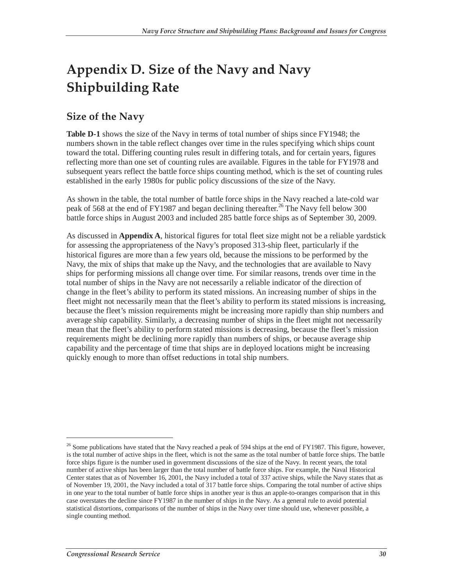# **Appendix D. Size of the Navy and Navy Shipbuilding Rate**

### **Size of the Navy**

**Table D-1** shows the size of the Navy in terms of total number of ships since FY1948; the numbers shown in the table reflect changes over time in the rules specifying which ships count toward the total. Differing counting rules result in differing totals, and for certain years, figures reflecting more than one set of counting rules are available. Figures in the table for FY1978 and subsequent years reflect the battle force ships counting method, which is the set of counting rules established in the early 1980s for public policy discussions of the size of the Navy.

As shown in the table, the total number of battle force ships in the Navy reached a late-cold war peak of 568 at the end of FY1987 and began declining thereafter.<sup>26</sup> The Navy fell below 300 battle force ships in August 2003 and included 285 battle force ships as of September 30, 2009.

As discussed in **Appendix A**, historical figures for total fleet size might not be a reliable yardstick for assessing the appropriateness of the Navy's proposed 313-ship fleet, particularly if the historical figures are more than a few years old, because the missions to be performed by the Navy, the mix of ships that make up the Navy, and the technologies that are available to Navy ships for performing missions all change over time. For similar reasons, trends over time in the total number of ships in the Navy are not necessarily a reliable indicator of the direction of change in the fleet's ability to perform its stated missions. An increasing number of ships in the fleet might not necessarily mean that the fleet's ability to perform its stated missions is increasing, because the fleet's mission requirements might be increasing more rapidly than ship numbers and average ship capability. Similarly, a decreasing number of ships in the fleet might not necessarily mean that the fleet's ability to perform stated missions is decreasing, because the fleet's mission requirements might be declining more rapidly than numbers of ships, or because average ship capability and the percentage of time that ships are in deployed locations might be increasing quickly enough to more than offset reductions in total ship numbers.

-

 $26$  Some publications have stated that the Navy reached a peak of 594 ships at the end of FY1987. This figure, however, is the total number of active ships in the fleet, which is not the same as the total number of battle force ships. The battle force ships figure is the number used in government discussions of the size of the Navy. In recent years, the total number of active ships has been larger than the total number of battle force ships. For example, the Naval Historical Center states that as of November 16, 2001, the Navy included a total of 337 active ships, while the Navy states that as of November 19, 2001, the Navy included a total of 317 battle force ships. Comparing the total number of active ships in one year to the total number of battle force ships in another year is thus an apple-to-oranges comparison that in this case overstates the decline since FY1987 in the number of ships in the Navy. As a general rule to avoid potential statistical distortions, comparisons of the number of ships in the Navy over time should use, whenever possible, a single counting method.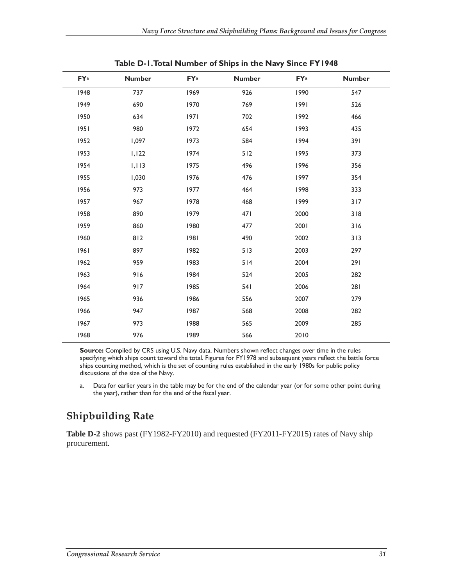| <b>FYa</b> | <b>Number</b> | <b>FYa</b> | <b>Number</b> | FYa  | <b>Number</b> |
|------------|---------------|------------|---------------|------|---------------|
| 1948       | 737           | 1969       | 926           | 1990 | 547           |
| 1949       | 690           | 1970       | 769           | 1991 | 526           |
| 1950       | 634           | 97         | 702           | 1992 | 466           |
| 1951       | 980           | 1972       | 654           | 1993 | 435           |
| 1952       | 1,097         | 1973       | 584           | 1994 | 391           |
| 1953       | 1,122         | 1974       | 512           | 1995 | 373           |
| 1954       | 1,113         | 1975       | 496           | 1996 | 356           |
| 1955       | 1,030         | 1976       | 476           | 1997 | 354           |
| 1956       | 973           | 1977       | 464           | 1998 | 333           |
| 1957       | 967           | 1978       | 468           | 1999 | 317           |
| 1958       | 890           | 1979       | 471           | 2000 | 318           |
| 1959       | 860           | 1980       | 477           | 2001 | 316           |
| 1960       | 812           | 1981       | 490           | 2002 | 313           |
| 1961       | 897           | 1982       | 513           | 2003 | 297           |
| 1962       | 959           | 1983       | 514           | 2004 | 291           |
| 1963       | 916           | 1984       | 524           | 2005 | 282           |
| 1964       | 917           | 1985       | 541           | 2006 | 281           |
| 1965       | 936           | 1986       | 556           | 2007 | 279           |
| 1966       | 947           | 1987       | 568           | 2008 | 282           |
| 1967       | 973           | 1988       | 565           | 2009 | 285           |
| 1968       | 976           | 1989       | 566           | 2010 |               |

**Table D-1. Total Number of Ships in the Navy Since FY1948** 

**Source:** Compiled by CRS using U.S. Navy data. Numbers shown reflect changes over time in the rules specifying which ships count toward the total. Figures for FY1978 and subsequent years reflect the battle force ships counting method, which is the set of counting rules established in the early 1980s for public policy discussions of the size of the Navy.

a. Data for earlier years in the table may be for the end of the calendar year (or for some other point during the year), rather than for the end of the fiscal year.

## **Shipbuilding Rate**

**Table D-2** shows past (FY1982-FY2010) and requested (FY2011-FY2015) rates of Navy ship procurement.